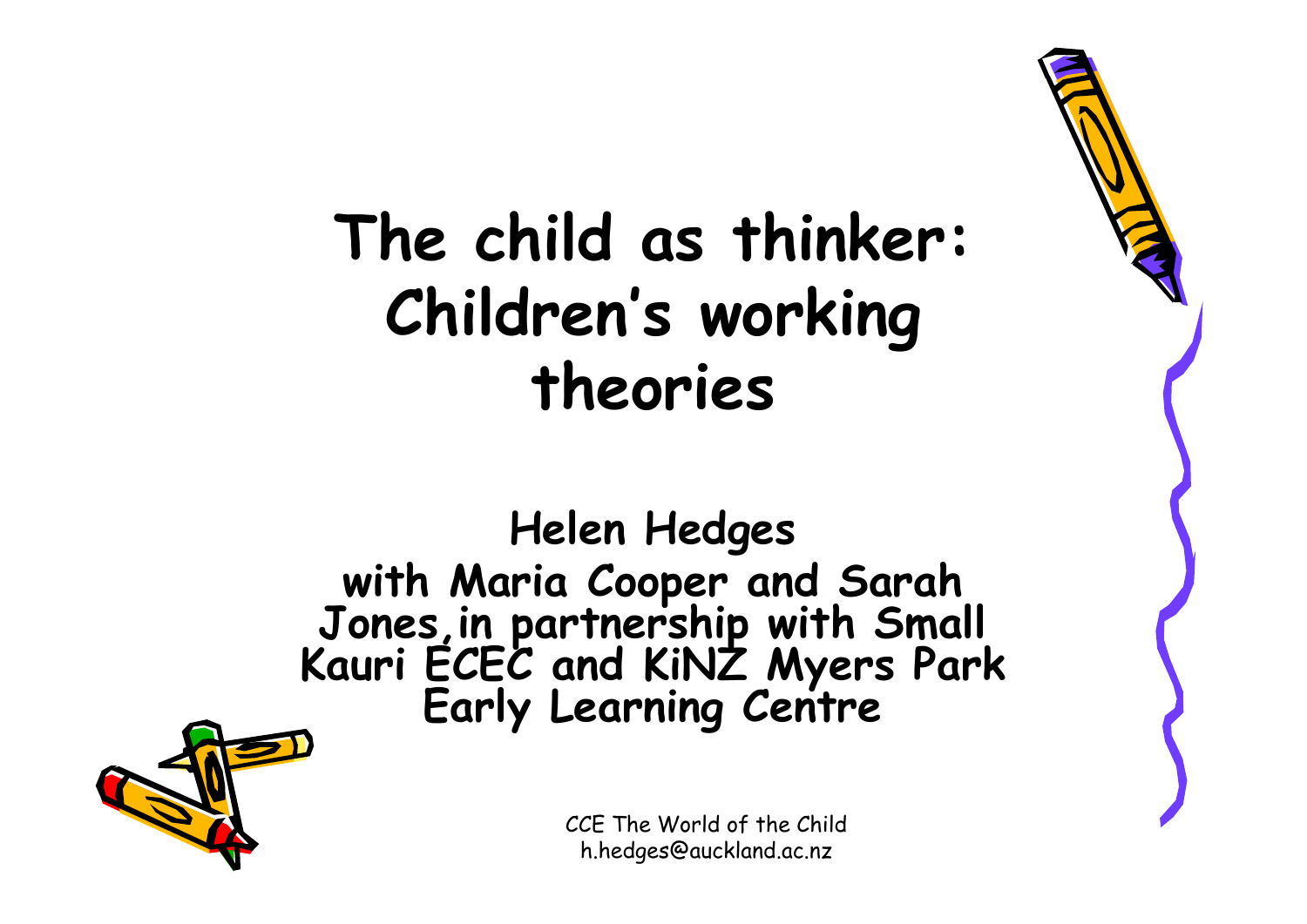#### **The child as thinker: Children's working theories**

# **Helen Hedges with Maria Cooper and Sarah Jones,in partnership with Small Kauri ECEC and KiNZ Myers Park Early Learning Centre**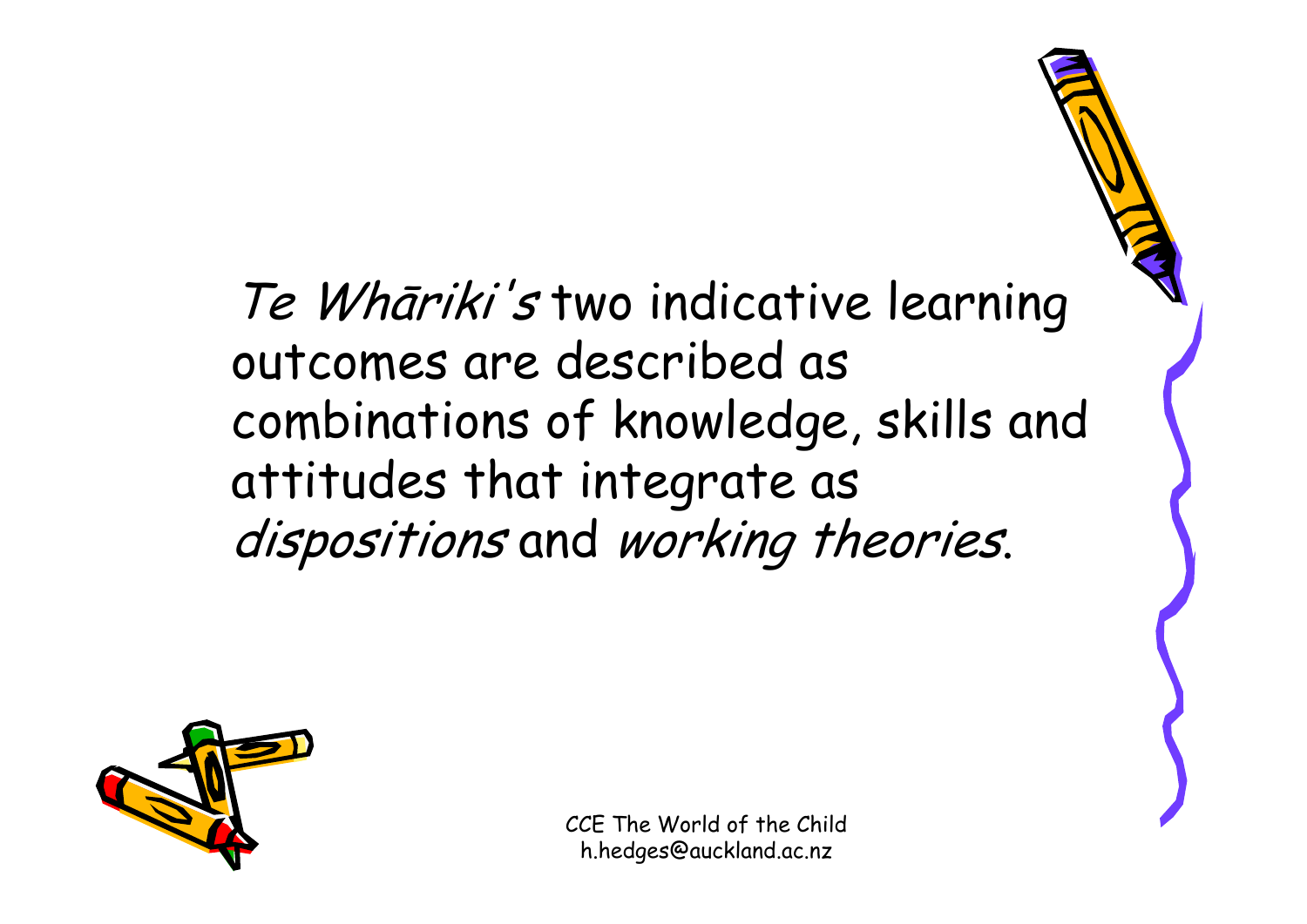#### Te Whāriki's two indicative learning outcomes are described as combinations of knowledge, skills and attitudes that integrate as dispositions and working theories.

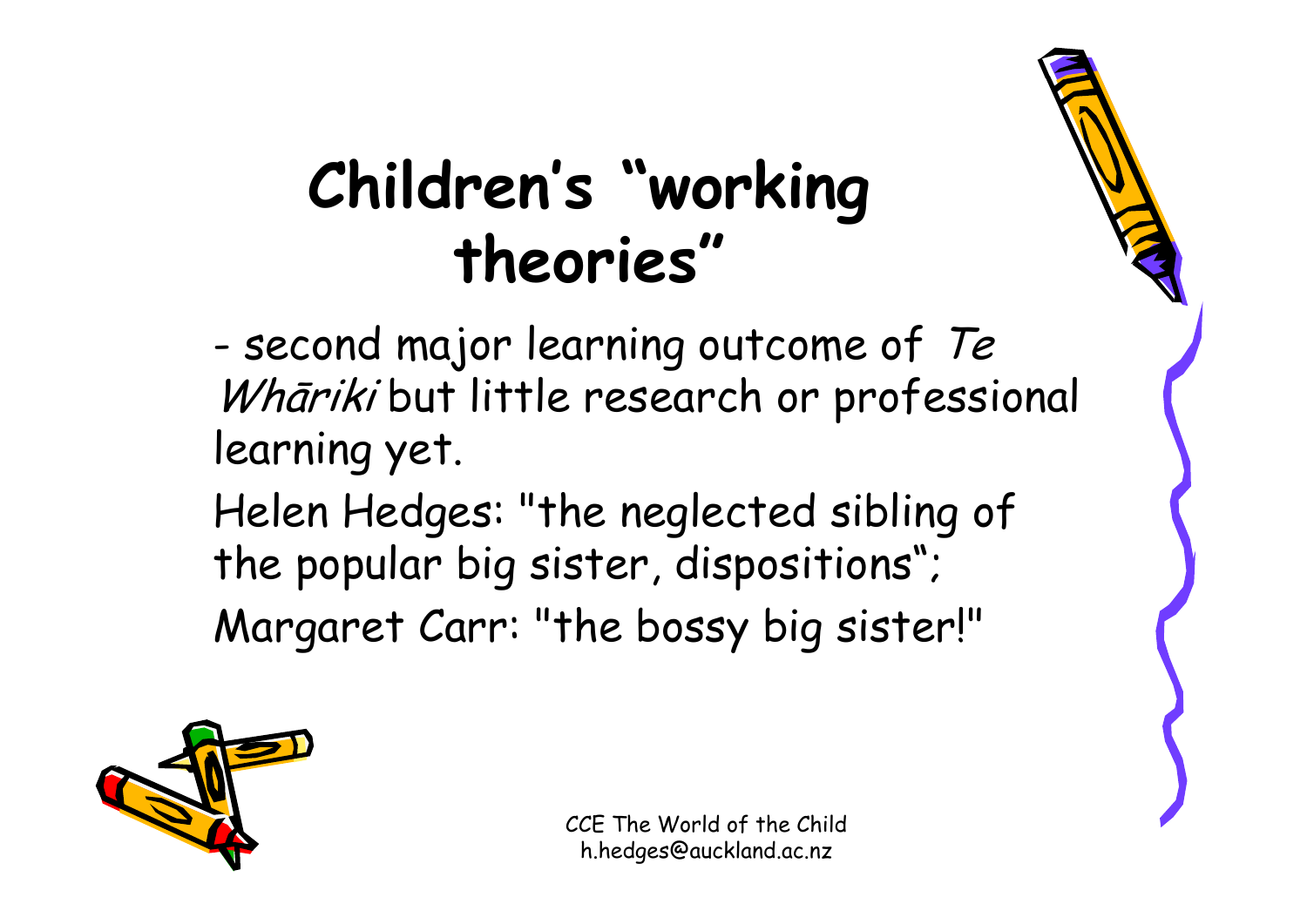### **Children's "working theories"**

- -- second major learning outcome of  ${\it Te}$ Whāriki but little research or professional learning yet.
- Helen Hedges: "the neglected sibling of the popular big sister, dispositions"; Margaret Carr: "the bossy big sister!"

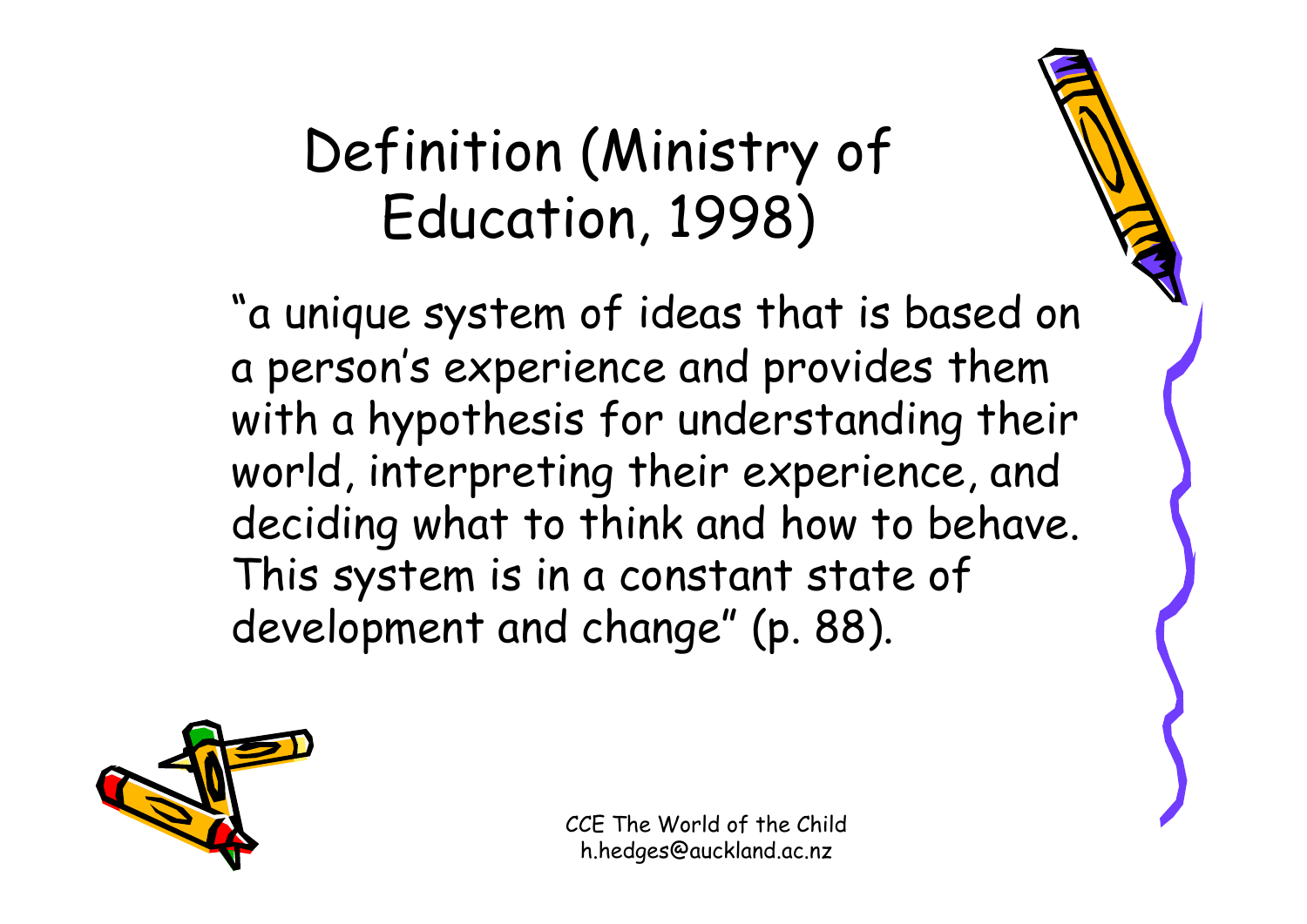#### Definition (Ministry of Education, 1998)

"a unique system of ideas that is based on a person's experience and provides them with a hypothesis for understanding their world, interpreting their experience, and deciding what to think and how to behave. This system is in a constant state of development and change" (p. 88).

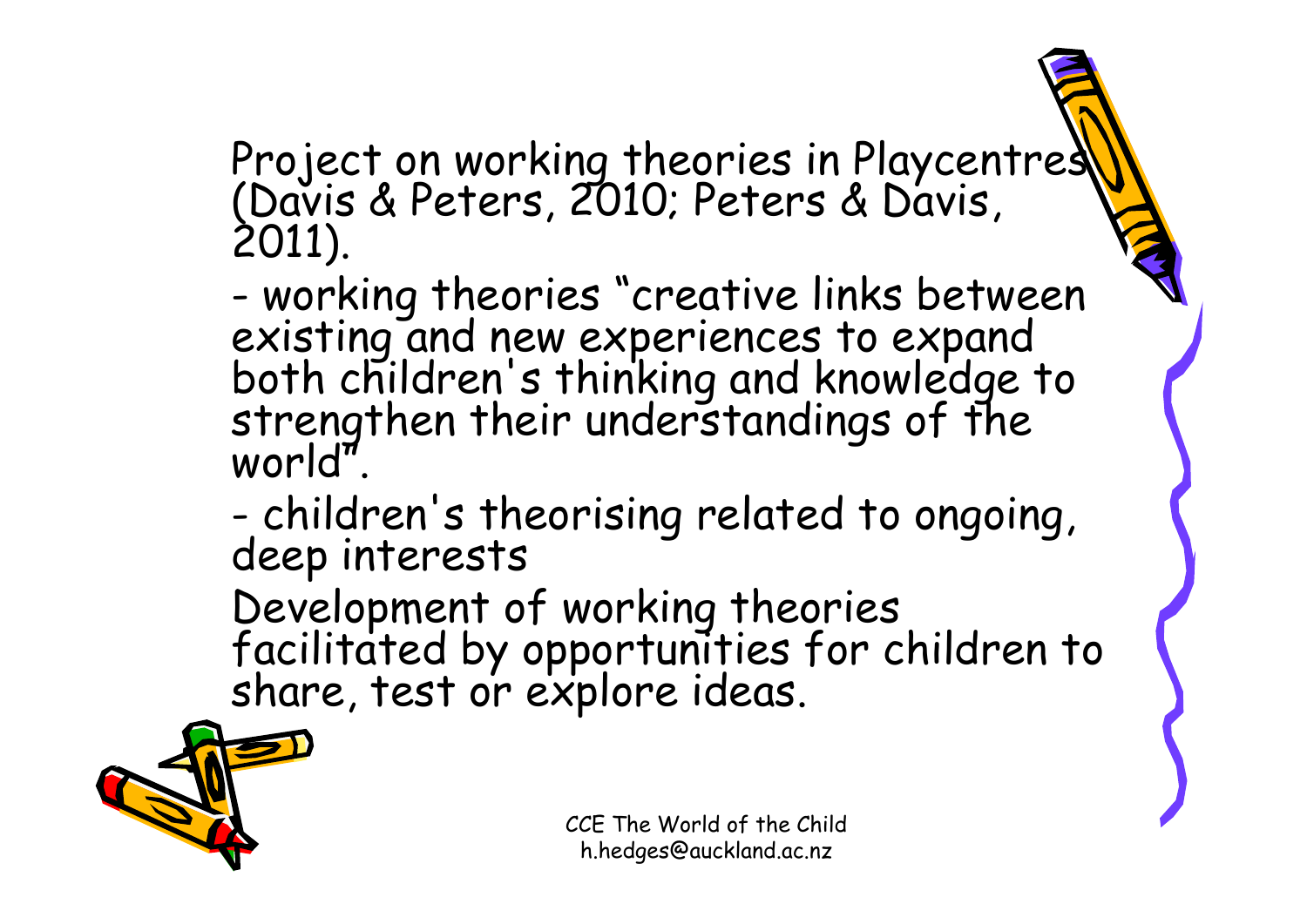# Project on working theories in Playcentres<br>(Davis & Peters, 2010; Peters & Davis,<br>2011).

- working theories "creative links between existing and new experiences to expand<br>both children's thinking and knowledge to<br>strengthen their understandings of the<br>world".

-- children's theorising related to ongoing,<br>deep interests

Development of working theories facilitated by opportunities for children to share, test or explore ideas.

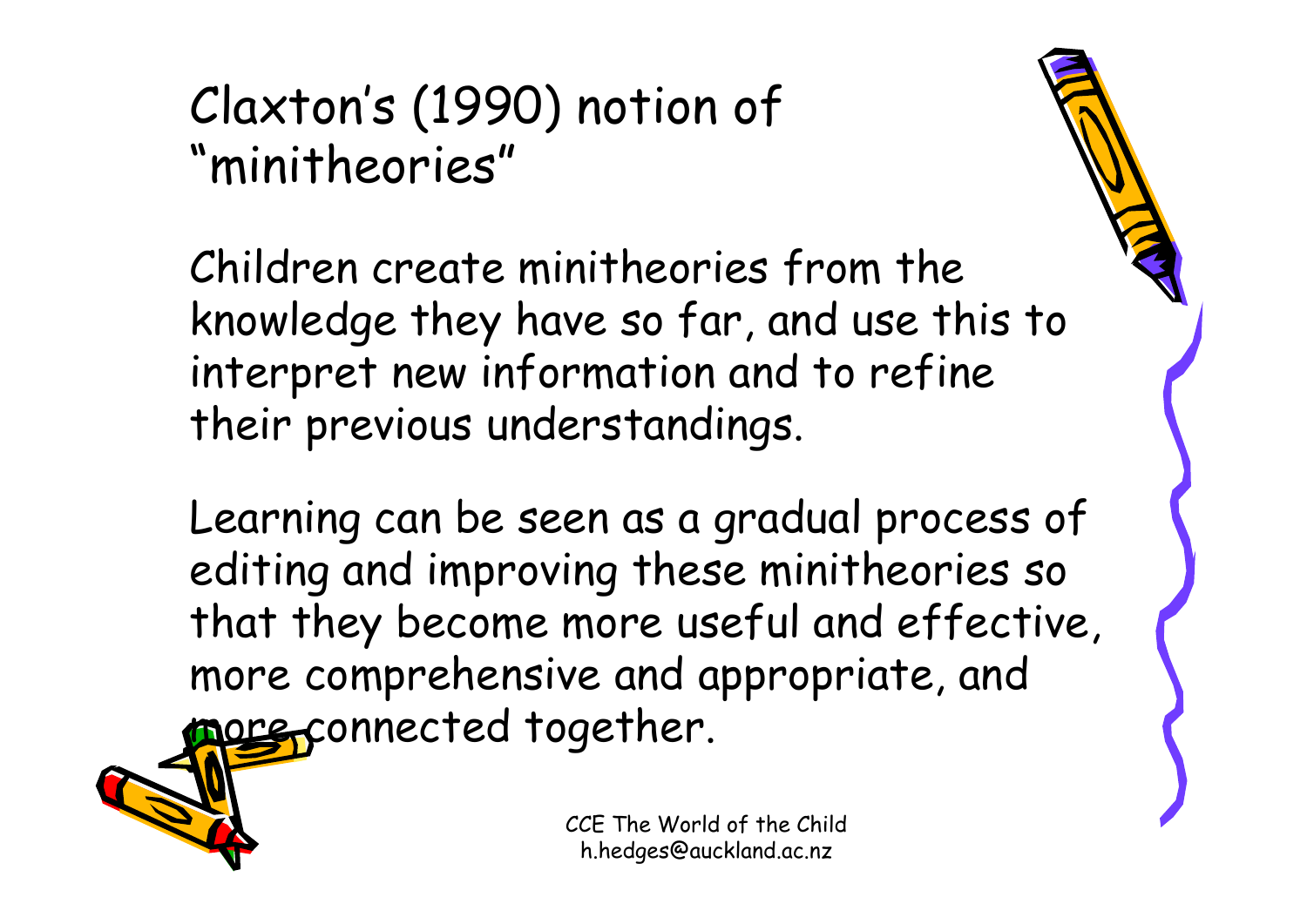#### Claxton's (1990) notion of "minitheories"

Children create minitheories from the knowledge they have so far, and use this to interpret new information and to refine their previous understandings.

Learning can be seen as a gradual process of editing and improving these minitheories so that they become more useful and effective, more comprehensive and appropriate, and more connected together.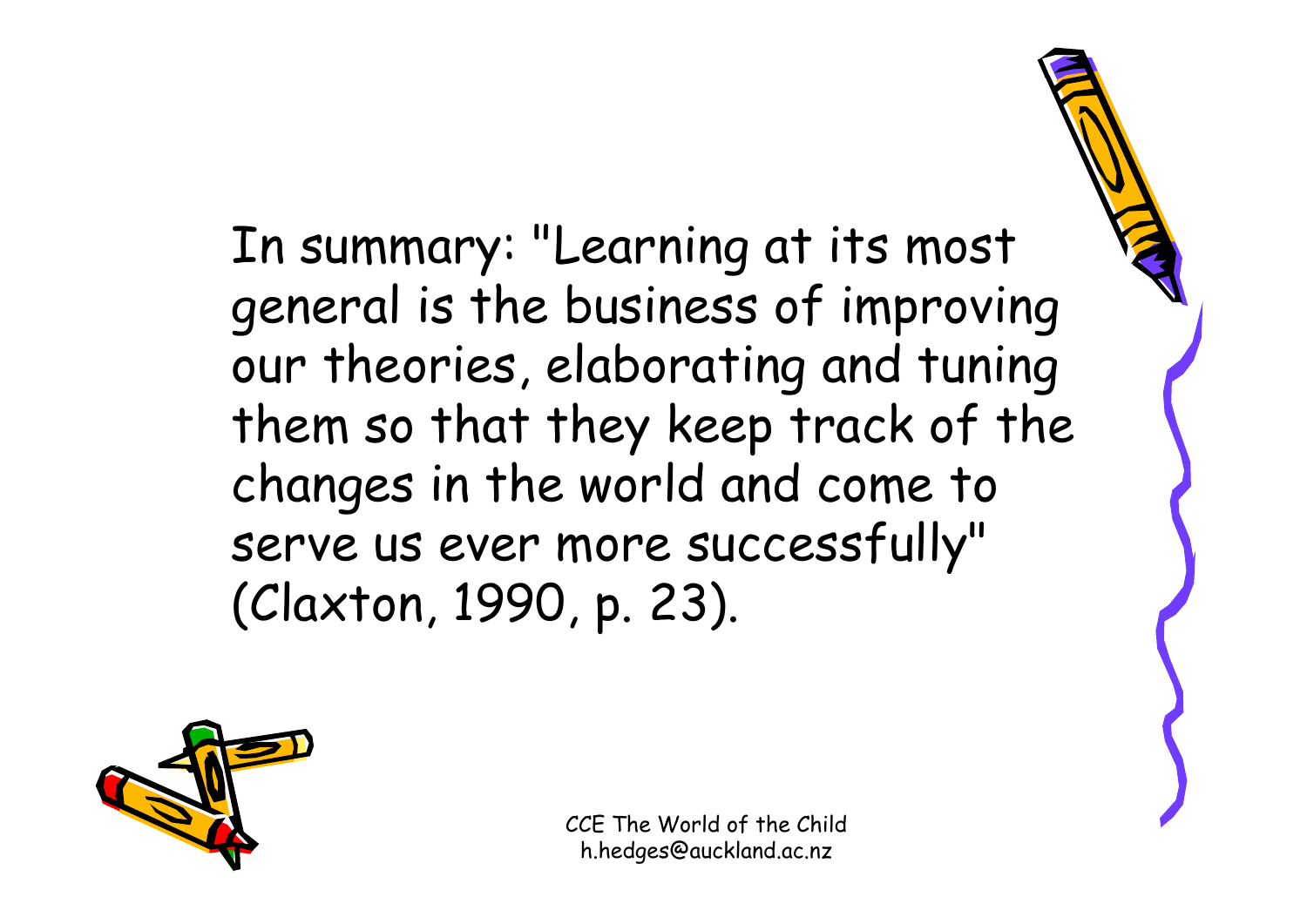In summary: "Learning at its most general is the business of improving our theories, elaborating and tuning them so that they keep track of the changes in the world and come to serve us ever more successfully" (Claxton, 1990, p. 23).

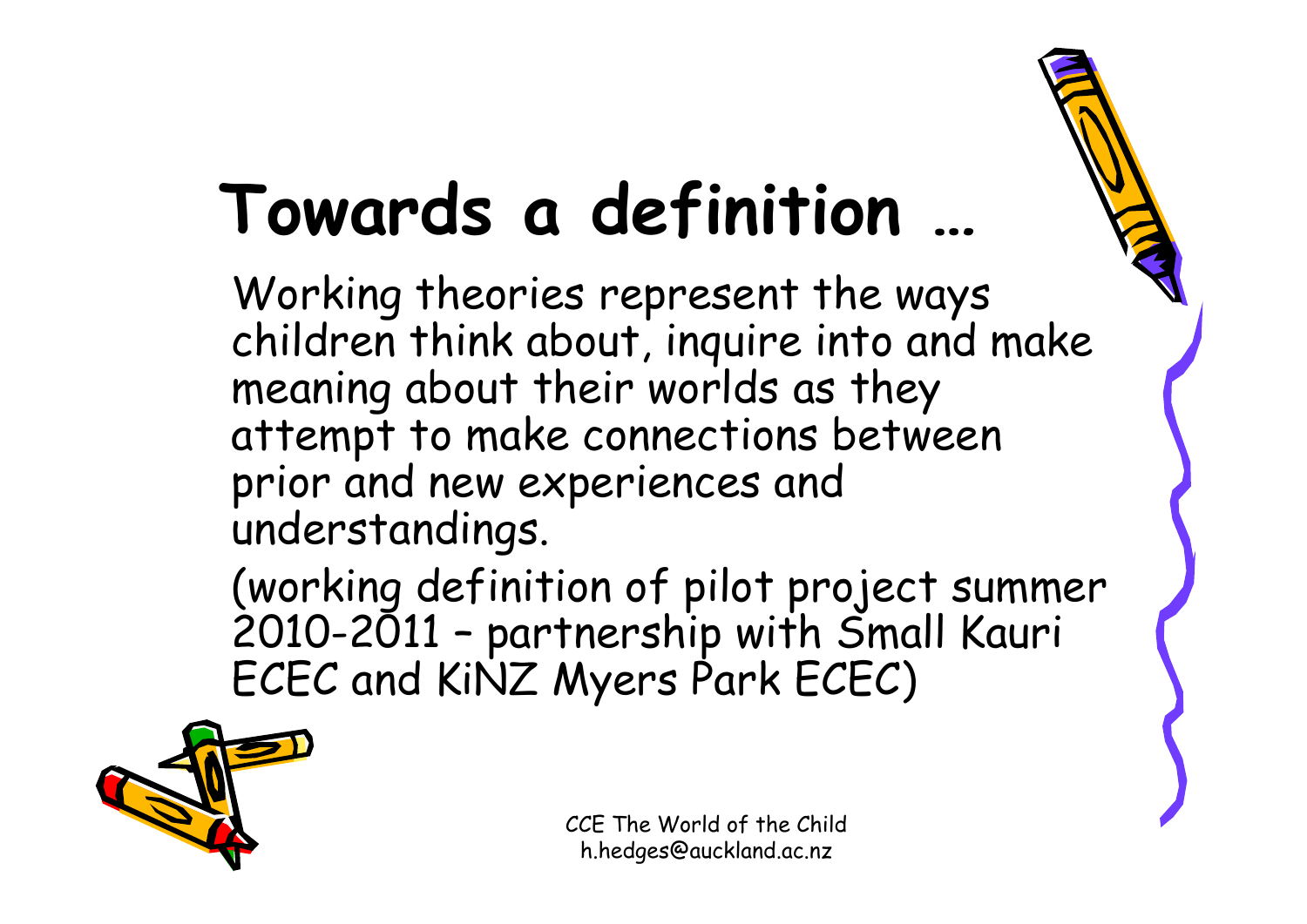## **Towards a definition …**

Working theories represent the ways children think about, inquire into and make meaning about their worlds as they attempt to make connections between prior and new experiences and understandings.

(working definition of pilot project summer 2010-2011 – partnership with Small Kauri ECEC and KiNZ Myers Park ECEC)

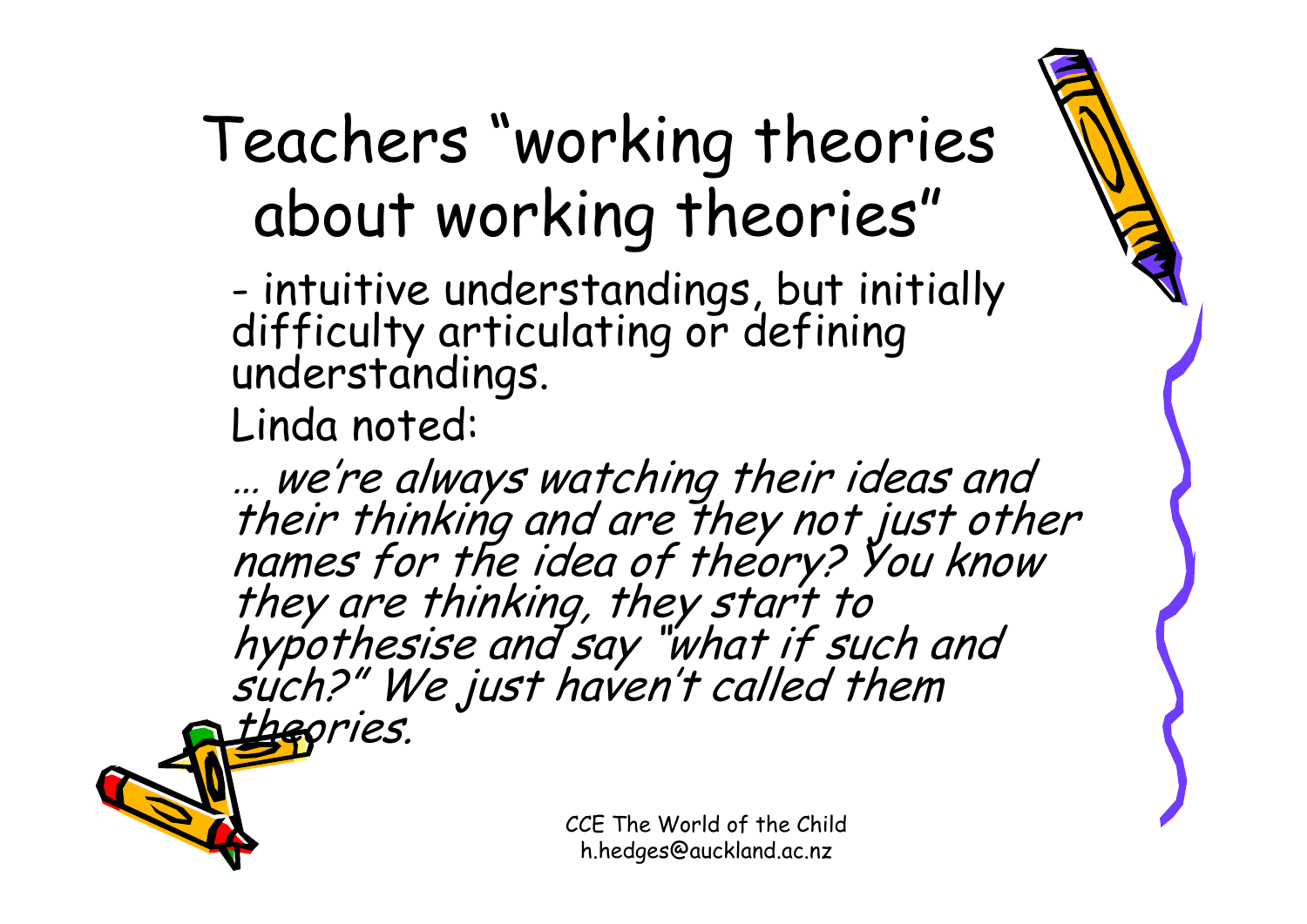### Teachers "working theories about working theories"

-- intuitive understandings, but initially<br>difficulty articulating or defining<br>understandings.

Linda noted:

... we're always watching their ideas and<br>their thinking and are they not just other<br>names for the idea of theory? You know<br>they are thinking, they start to<br>hypothesise and say "what if such and<br>such?" We just haven't call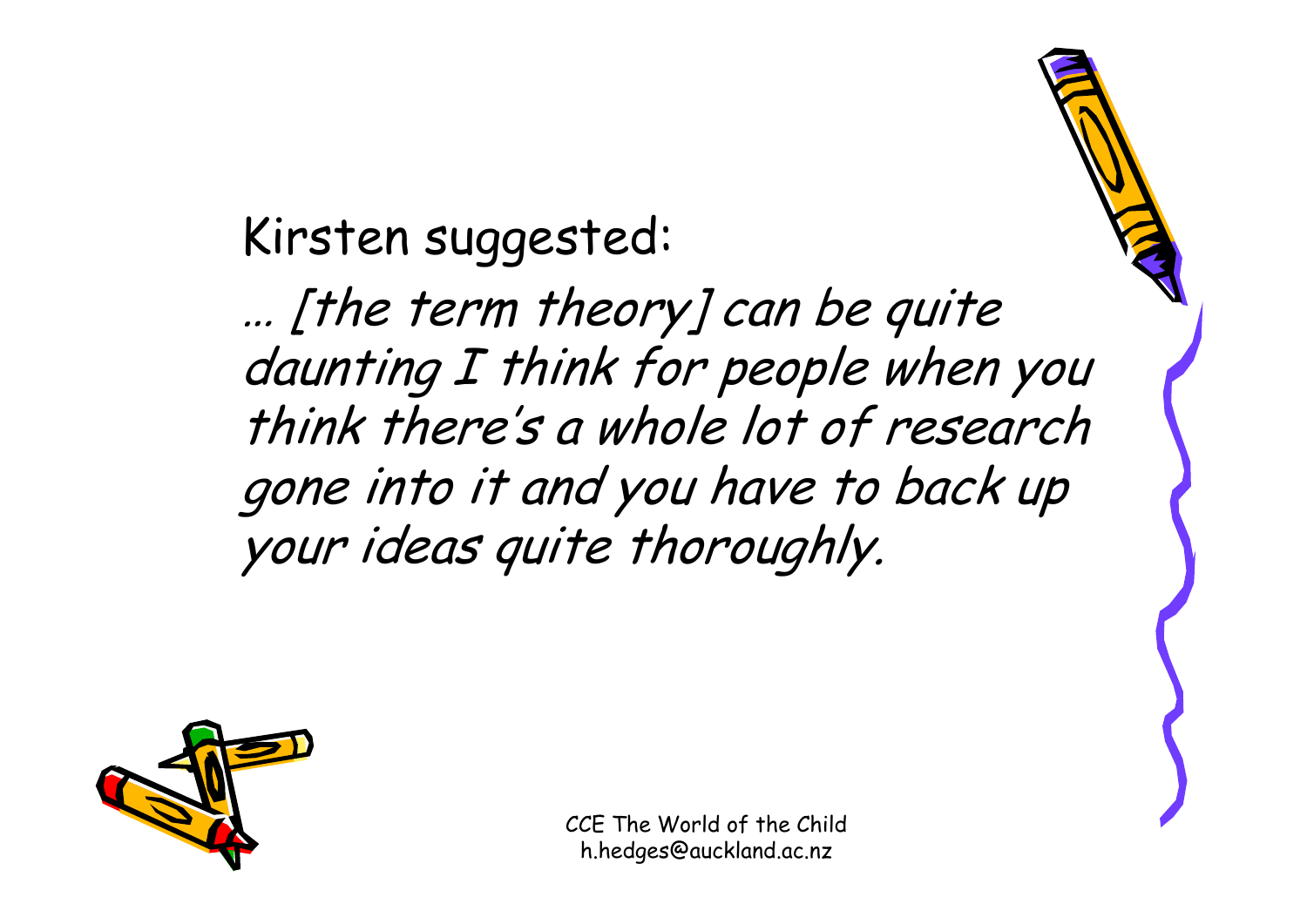Kirsten suggested:

… [the term theory] can be quite daunting I think for people when you think there's a whole lot of research gone into it and you have to back up your ideas quite thoroughly.

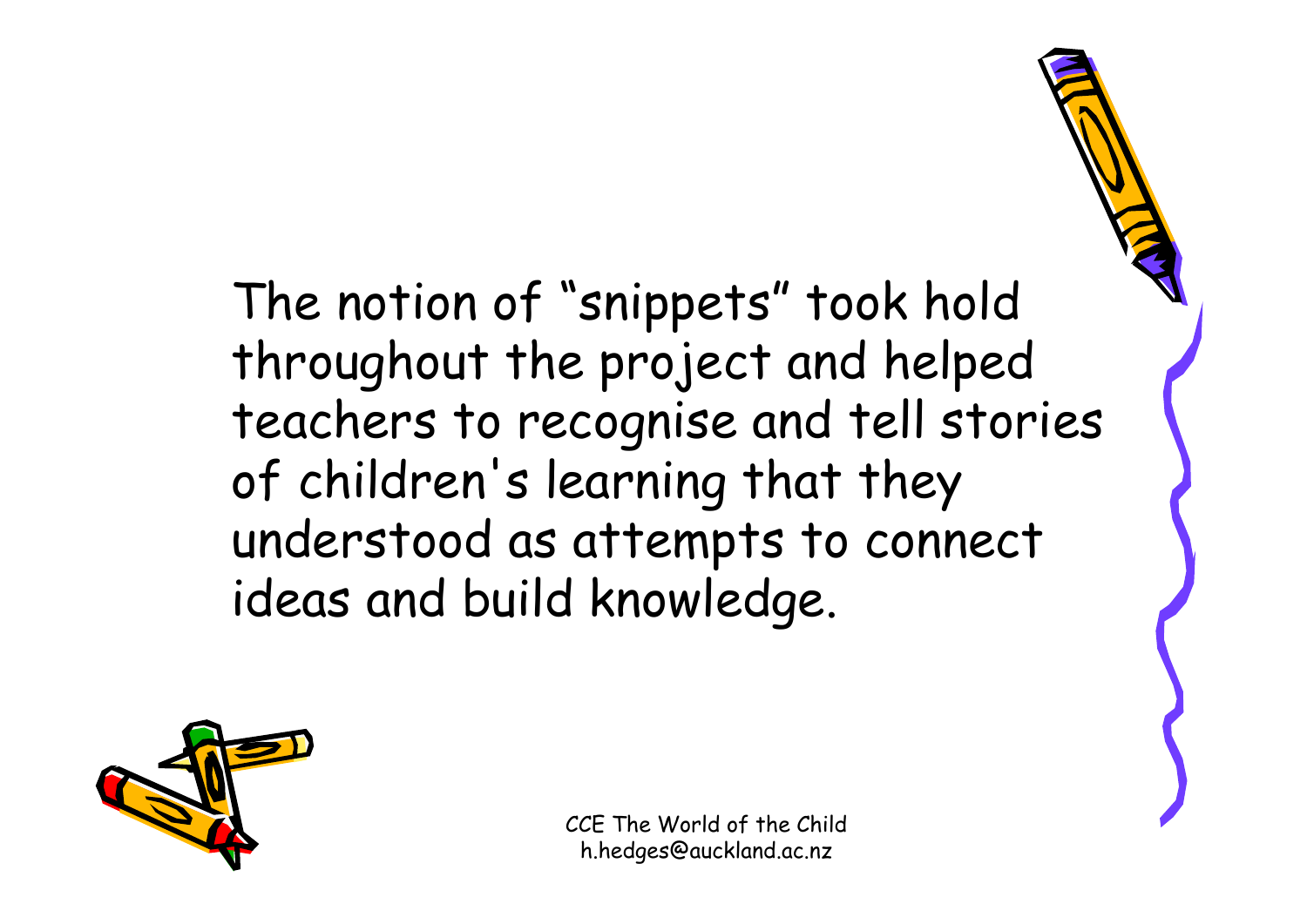The notion of "snippets" took hold throughout the project and helped teachers to recognise and tell stories of children's learning that they understood as attempts to connect ideas and build knowledge.

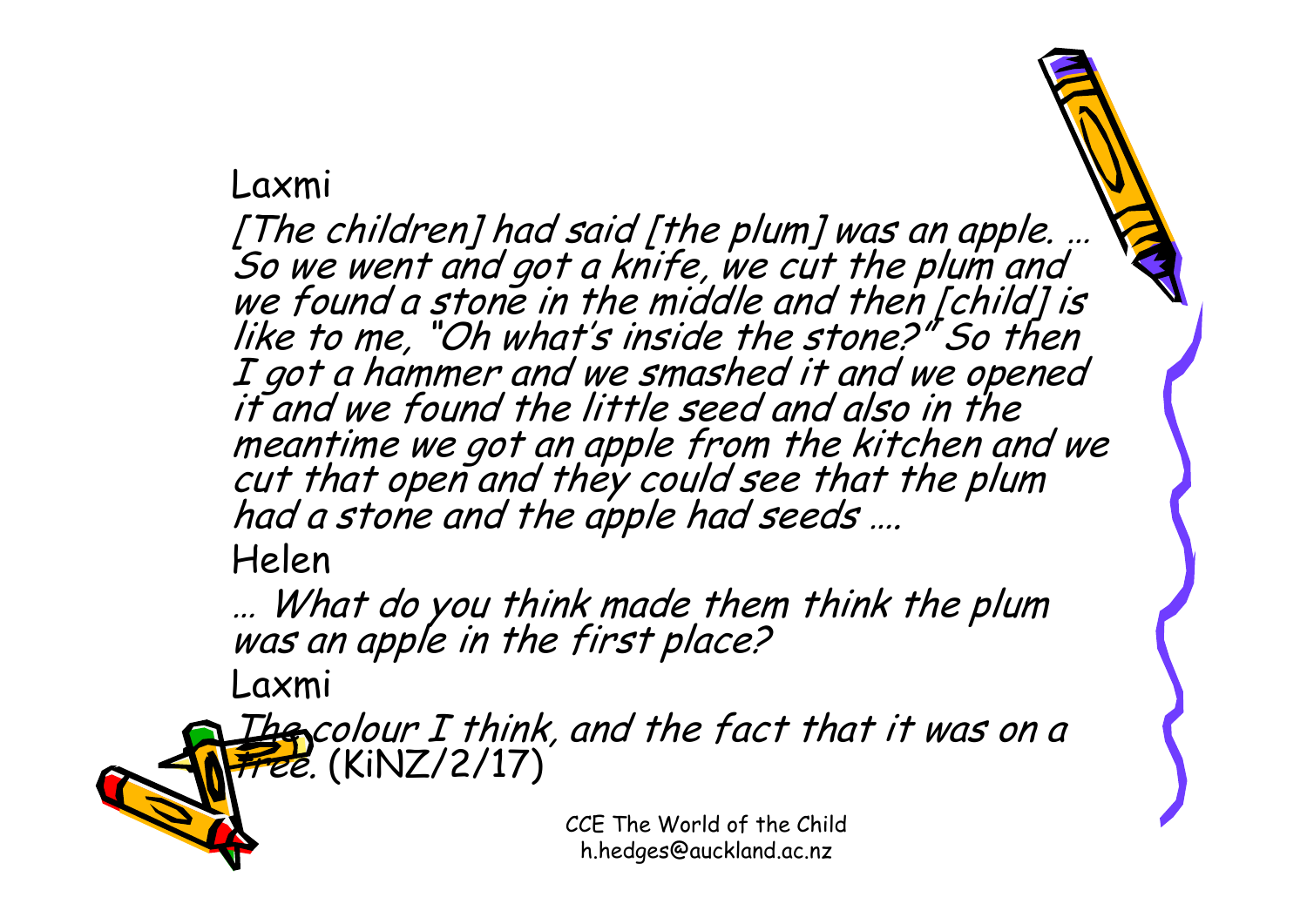#### Laxmi

[The children] had said [the plum] was an apple. …<br>So we went and got a knife, we cut the plum and<br>we found a stone in the middle and then [child] is<br>like to me, "Oh what's inside the stone?" So then I got a hammer and we smashed it and we opened it and we found the little seed and also in the meantime we got an apple from the kitchen and we<br>cut that open and they could see that the plum<br>had a stone and the apple had seeds …. Helen

… What do you think made them think the plum was an apple in the first place?

Laxmi

 $\mathcal{I}$ he colour I think, and the fact that it was on a  $frel.$  (KiNZ/2/17)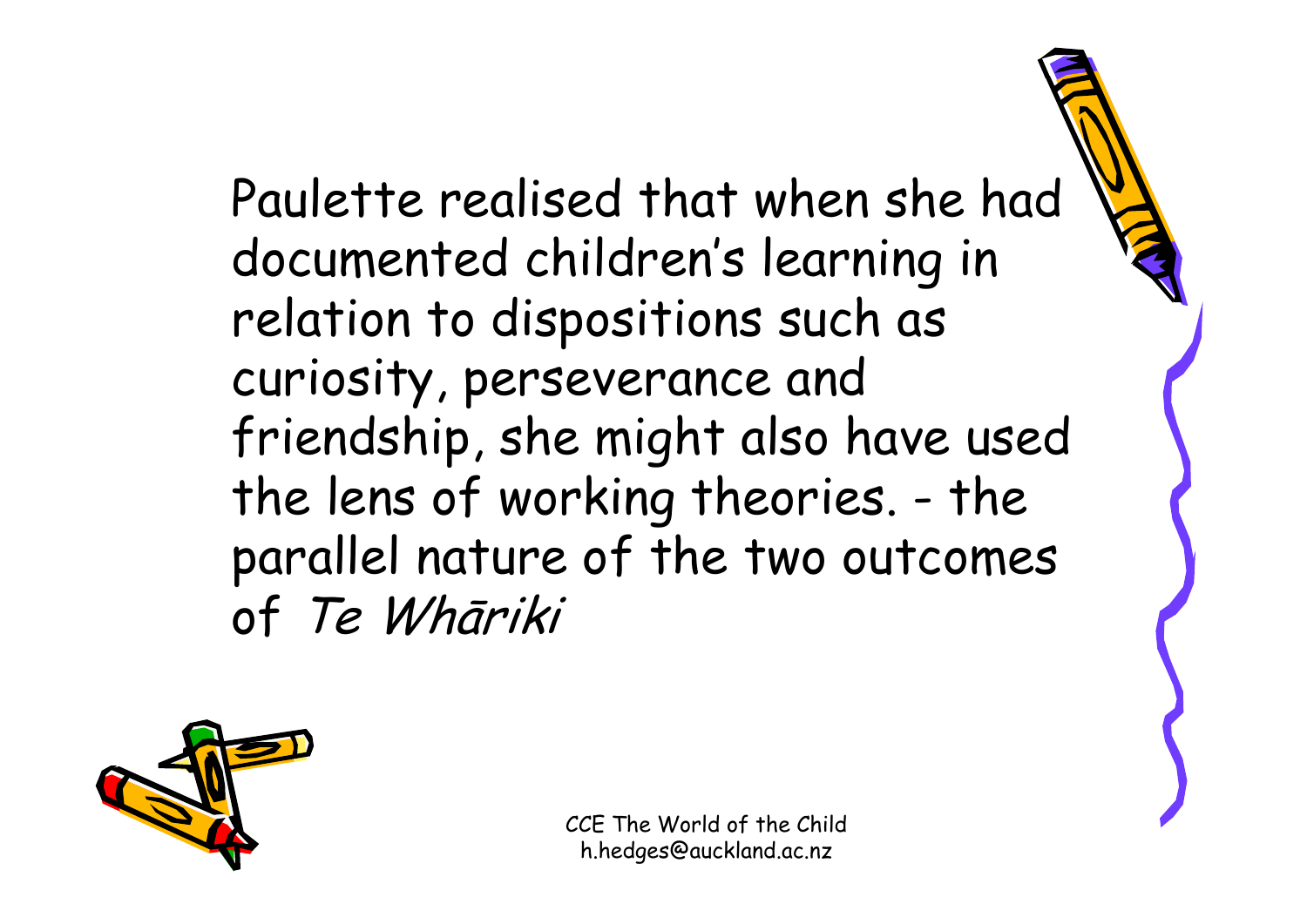Paulette realised that when she had documented children's learning in relation to dispositions such as curiosity, perseverance and friendship, she might also have used the lens of working theories. - the parallel nature of the two outcomes of Te Whāriki

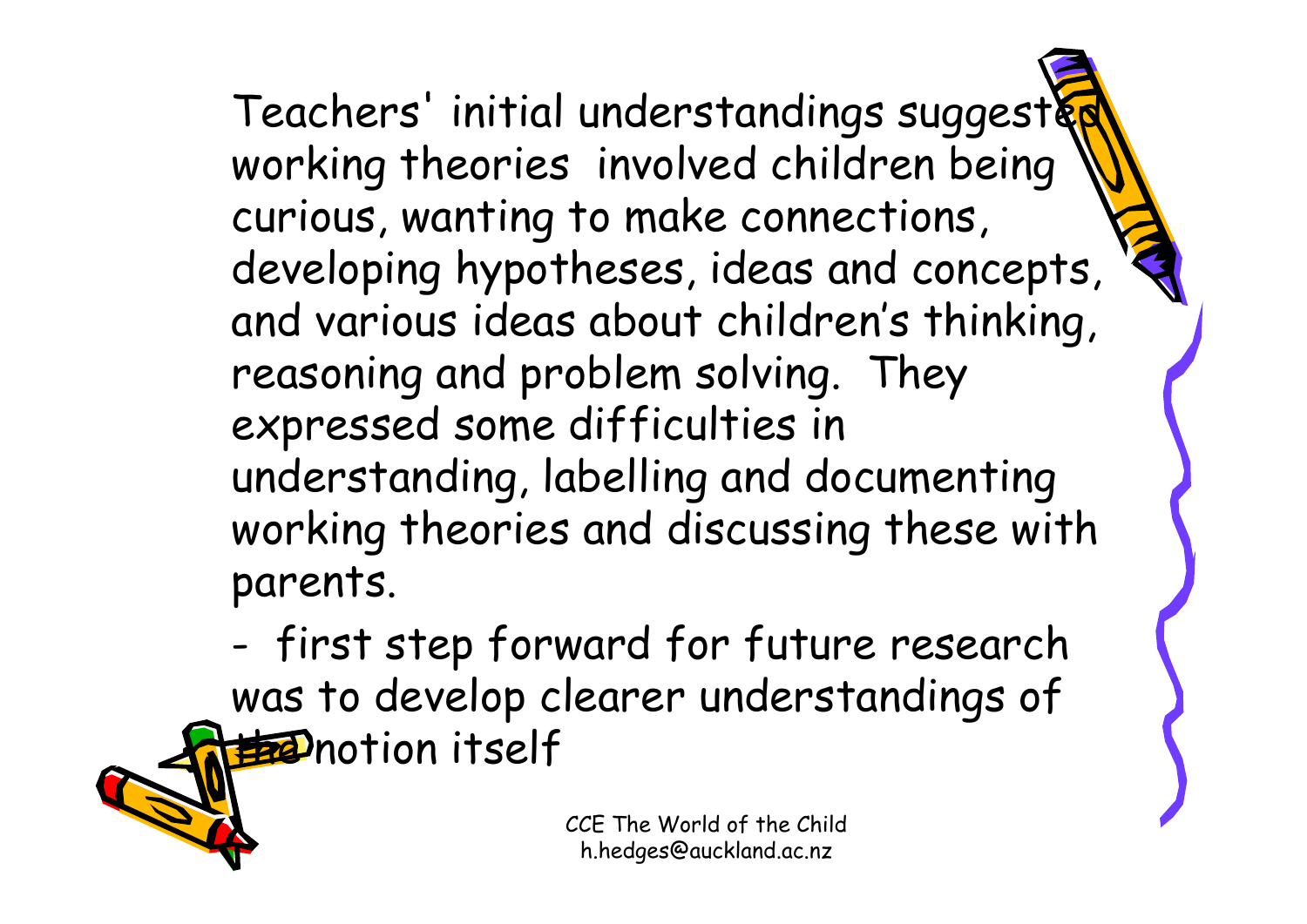Teachers' initial understandings suggest& working theories involved children being curious, wanting to make connections, developing hypotheses, ideas and concepts, and various ideas about children's thinking, reasoning and problem solving. They expressed some difficulties in understanding, labelling and documenting working theories and discussing these with parents.

 first step forward for future research was to develop clearer understandings of **the notion itself**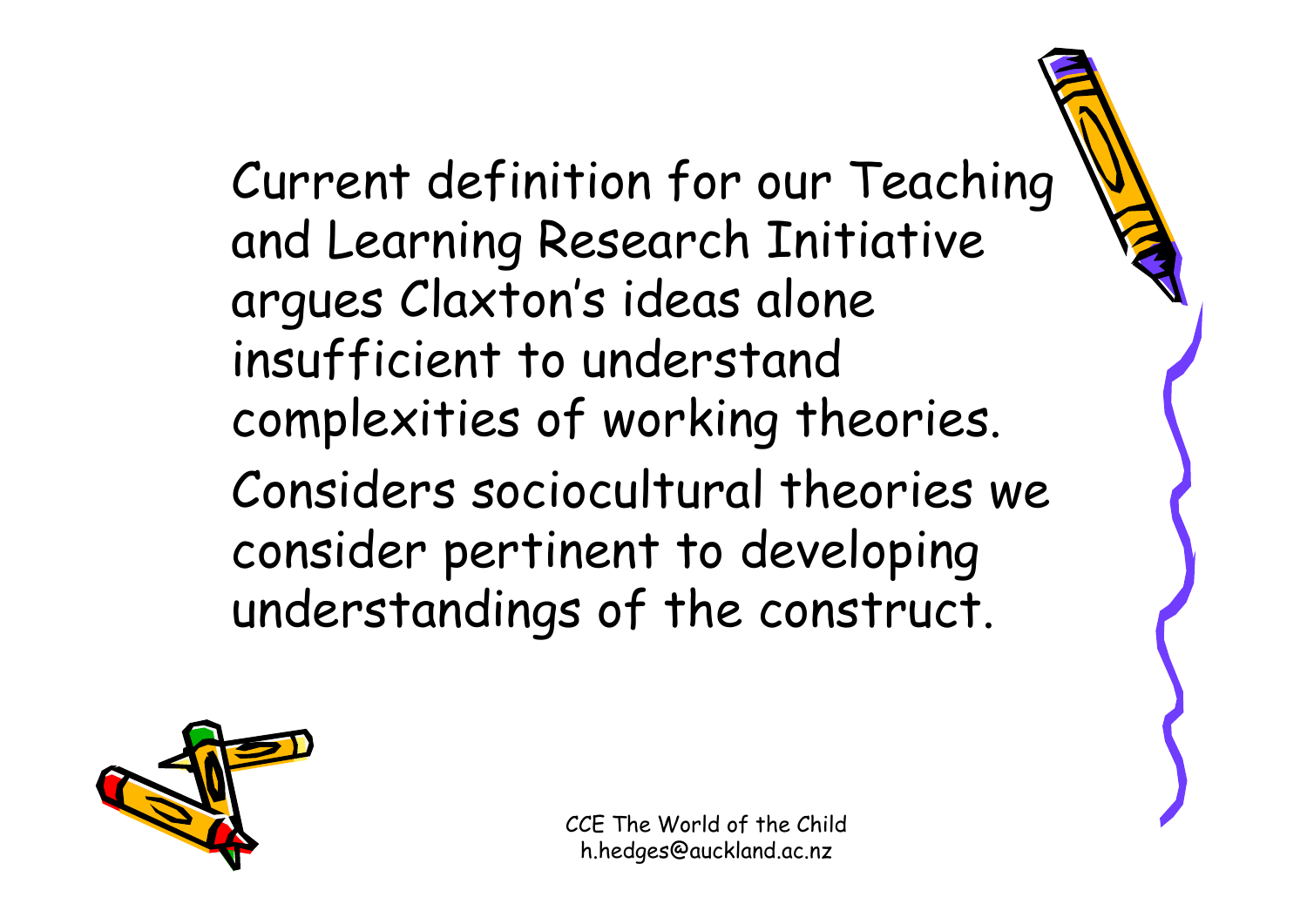#### Current definition for our Teaching and Learning Research Initiative argues Claxton's ideas alone insufficient to understand complexities of working theories. Considers sociocultural theories we consider pertinent to developing understandings of the construct.

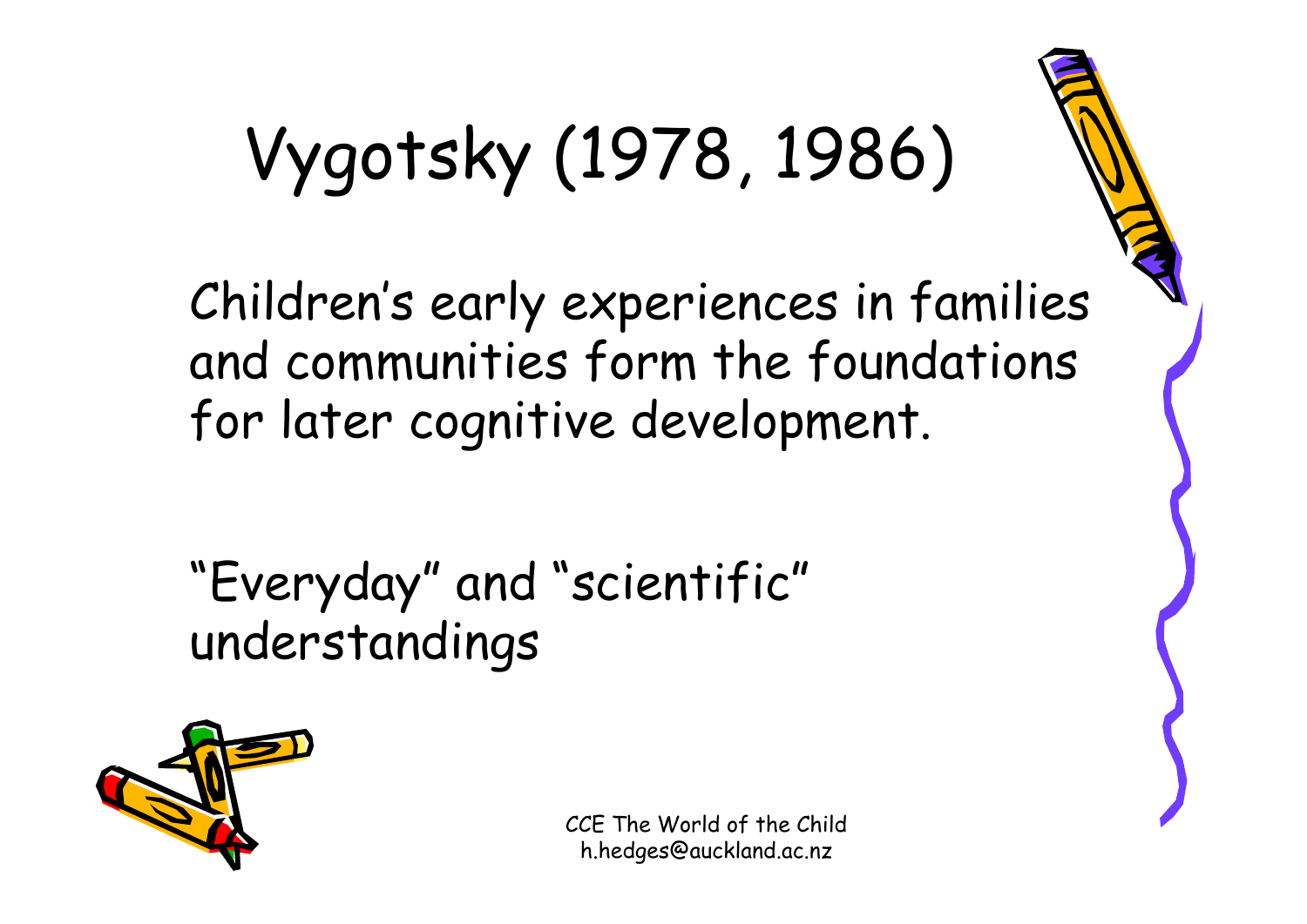# Vygotsky (1978, 1986)

Children's early experiences in families and communities form the foundations for later cognitive development.

"Everyday" and "scientific" understandings

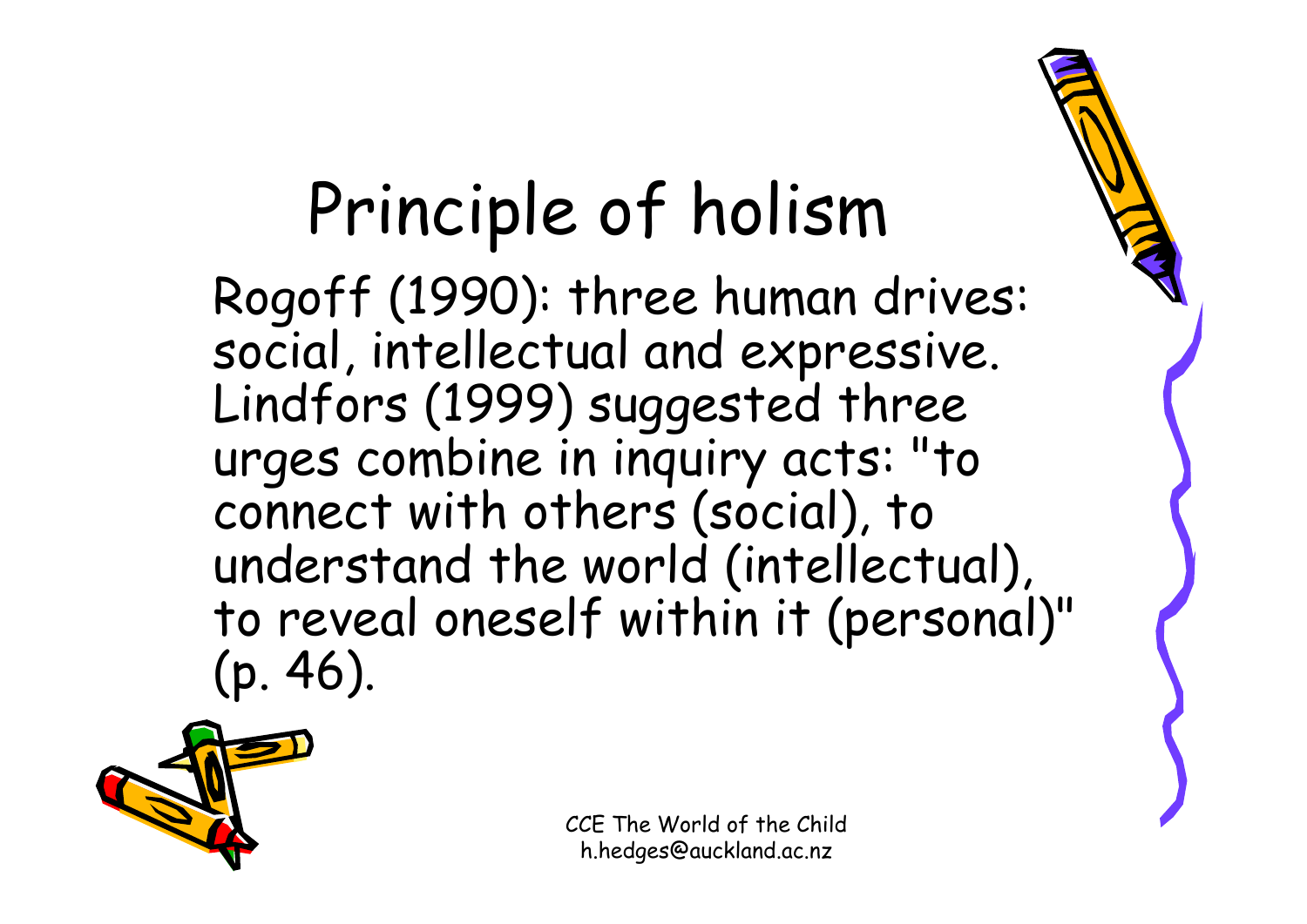### Principle of holism

Rogoff (1990): three human drives: social, intellectual and expressive. Lindfors (1999) suggested three urges combine in inquiry acts: "to connect with others (social), to understand the world (intellectual), to reveal oneself within it (personal)" (p. 46).

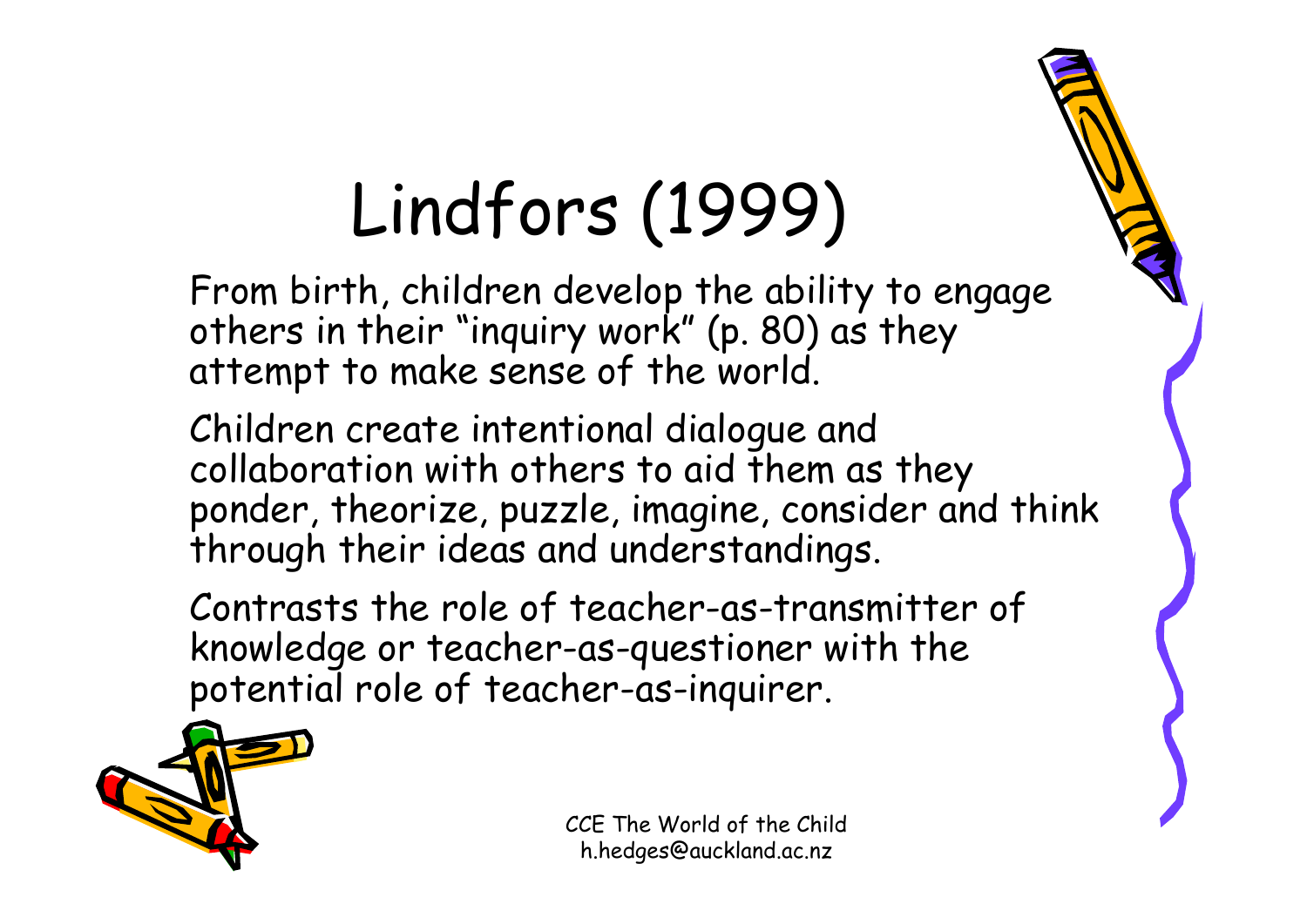# Lindfors (1999)

From birth, children develop the ability to engage others in their "inquiry work" (p. 80) as they attempt to make sense of the world.

Children create intentional dialogue and collaboration with others to aid them as they ponder, theorize, puzzle, imagine, consider and think through their ideas and understandings.

Contrasts the role of teacher-as-transmitter of knowledge or teacher-as-questioner with the potential role of teacher-as-inquirer.

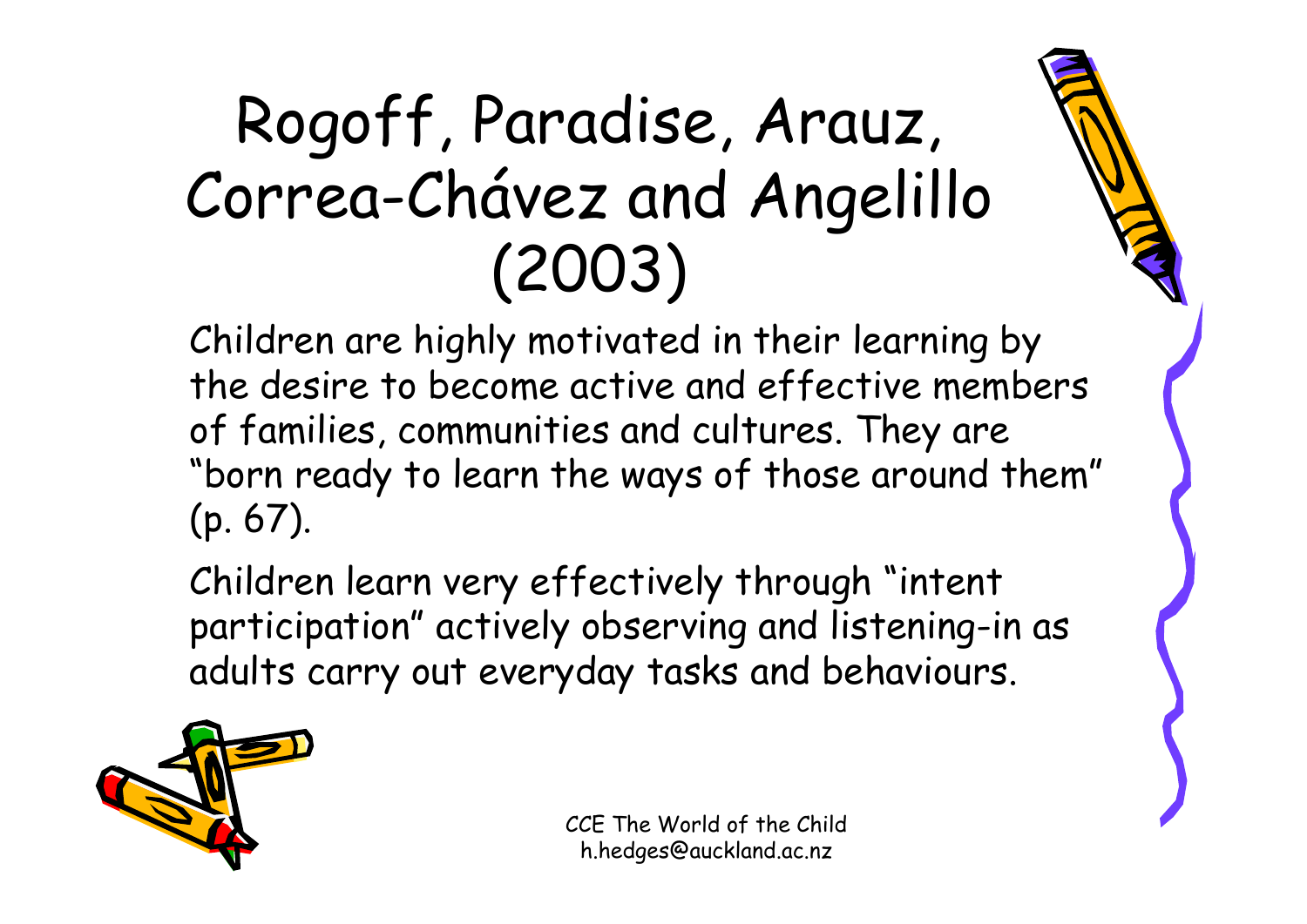### Rogoff, Paradise, Arauz, Correa-Chávez and Angelillo (2003)

Children are highly motivated in their learning by the desire to become active and effective members of families, communities and cultures. They are "born ready to learn the ways of those around them" (p. 67).

Children learn very effectively through "intent participation" actively observing and listening-in as adults carry out everyday tasks and behaviours.

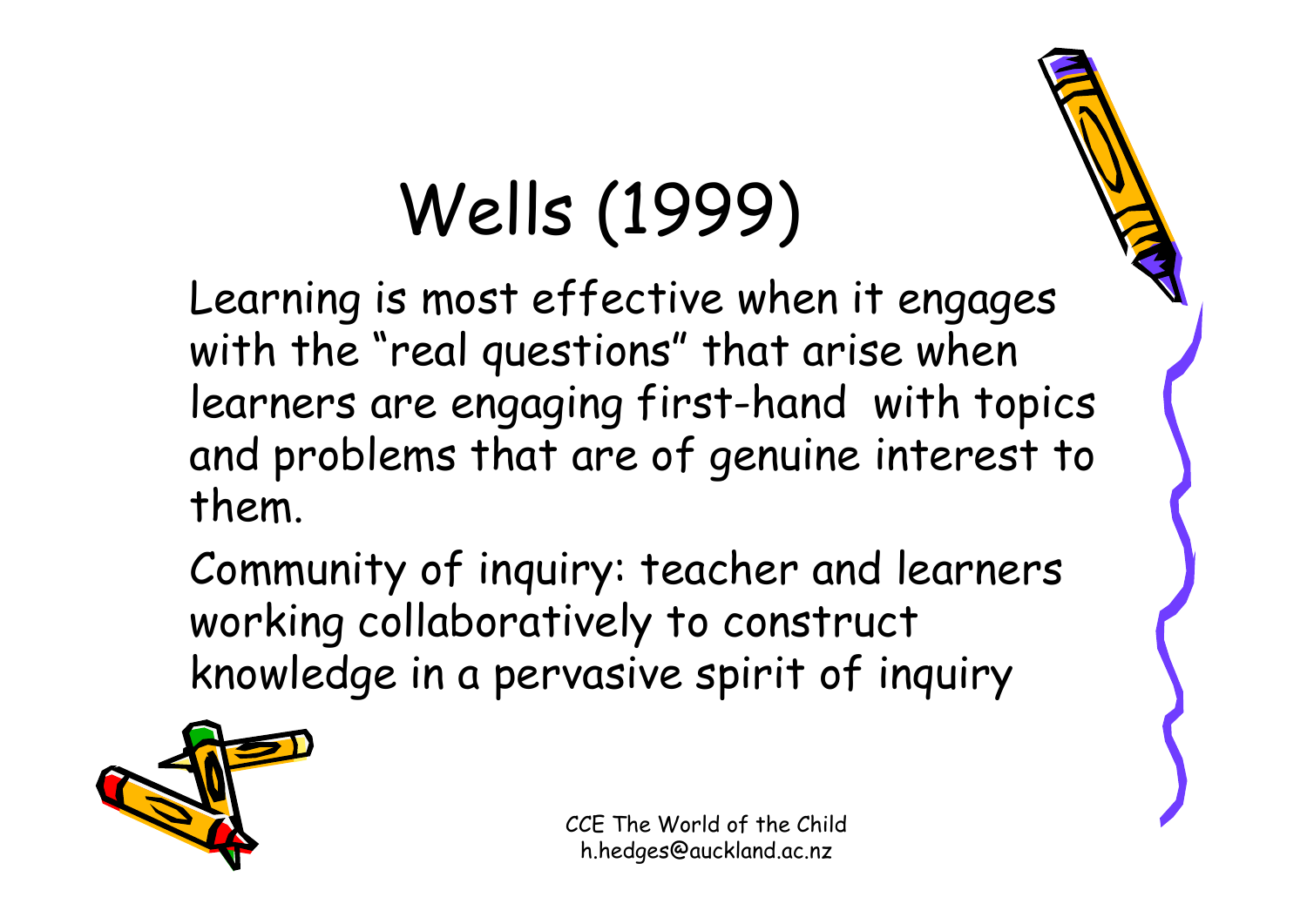# Wells (1999)

Learning is most effective when it engages with the "real questions" that arise when learners are engaging first-hand with topics and problems that are of genuine interest to them.

Community of inquiry: teacher and learners working collaboratively to construct knowledge in a pervasive spirit of inquiry

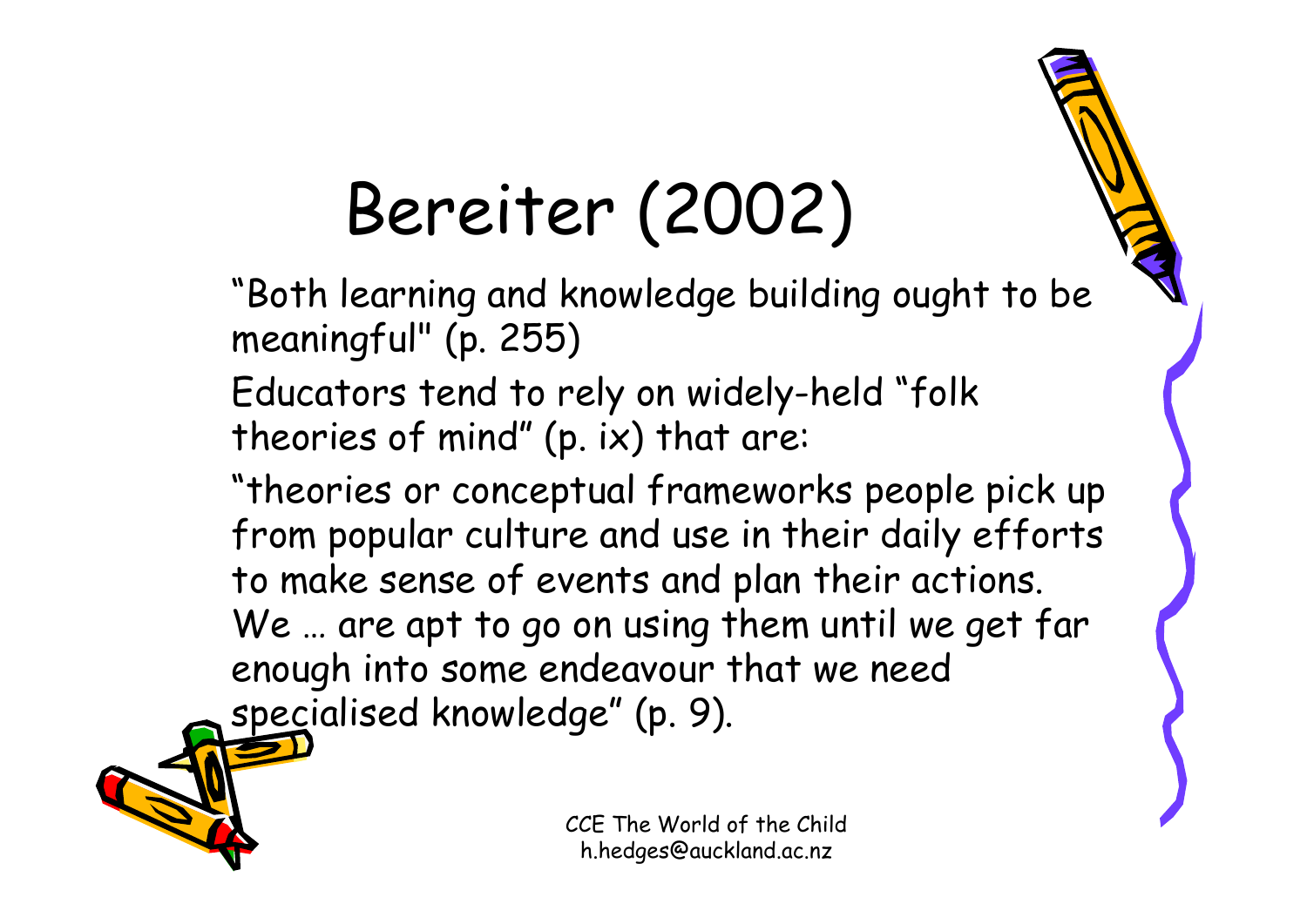### Bereiter (2002)

"Both learning and knowledge building ought to be meaningful" (p. 255)

Educators tend to rely on widely-held "folk theories of mind" (p. ix) that are:

"theories or conceptual frameworks people pick up from popular culture and use in their daily efforts to make sense of events and plan their actions. We ... are apt to go on using them until we get far enough into some endeavour that we need specialised knowledge" (p. 9).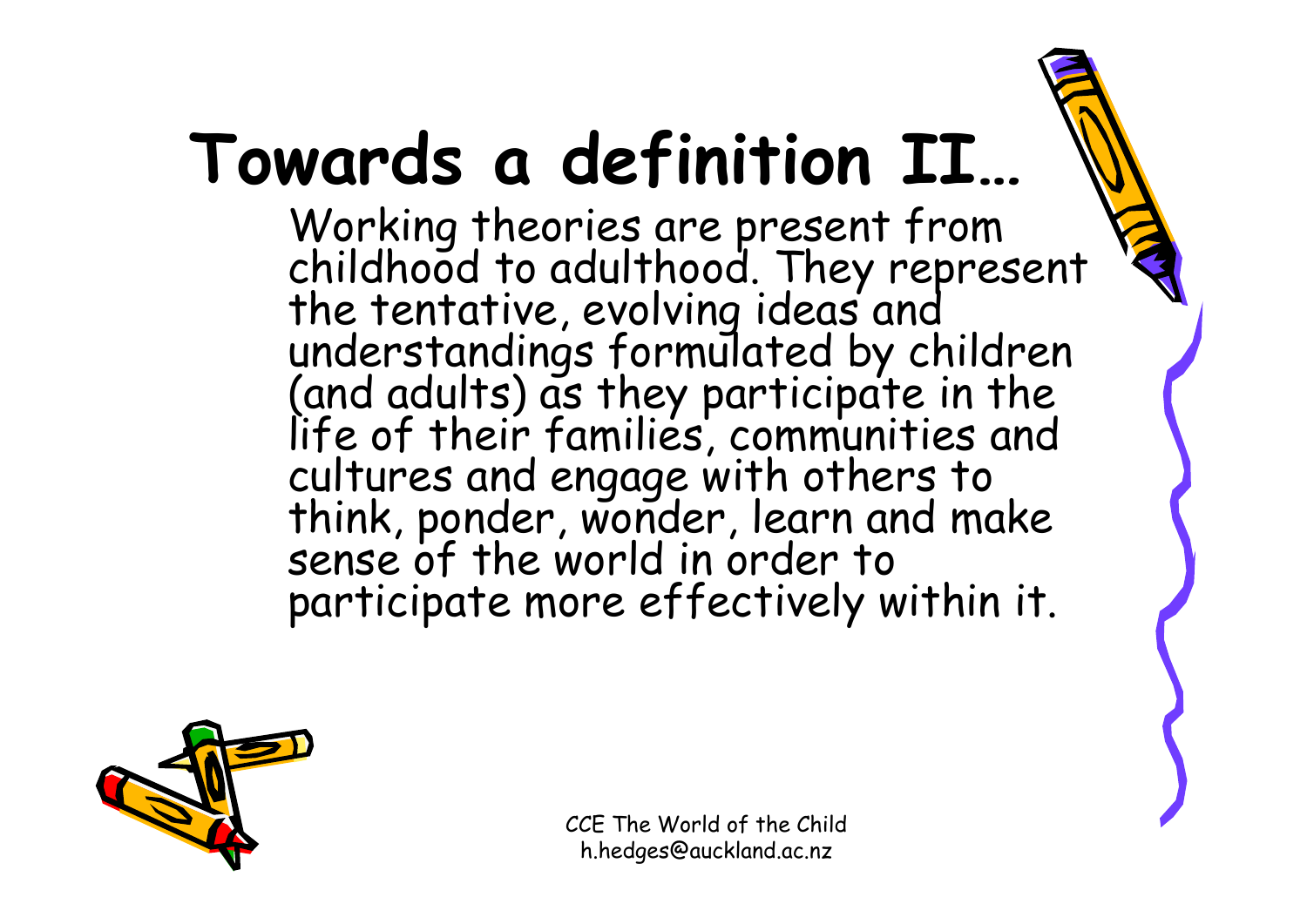## **Towards a definition II…**

Working theories are present from childhood to adulthood. They represent the tentative, evolving ideas and understandings formulated by children (and adults) as they participate in the life of their families, communities and cultures and engage with others to think, ponder, wonder, learn and make sense of the world in order to participate more effectively within it.

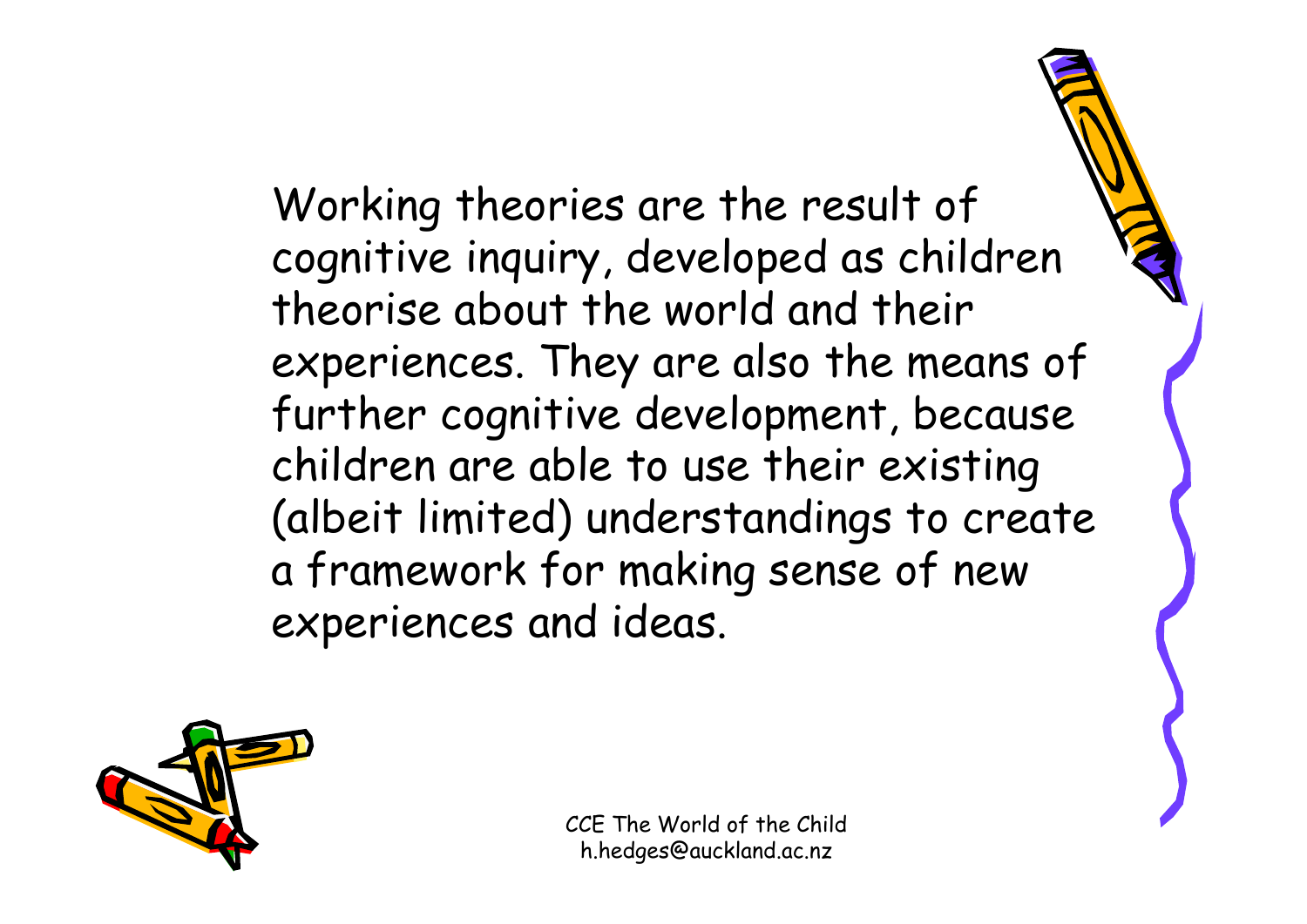Working theories are the result of cognitive inquiry, developed as children theorise about the world and their experiences. They are also the means of further cognitive development, because children are able to use their existing (albeit limited) understandings to create a framework for making sense of new experiences and ideas.

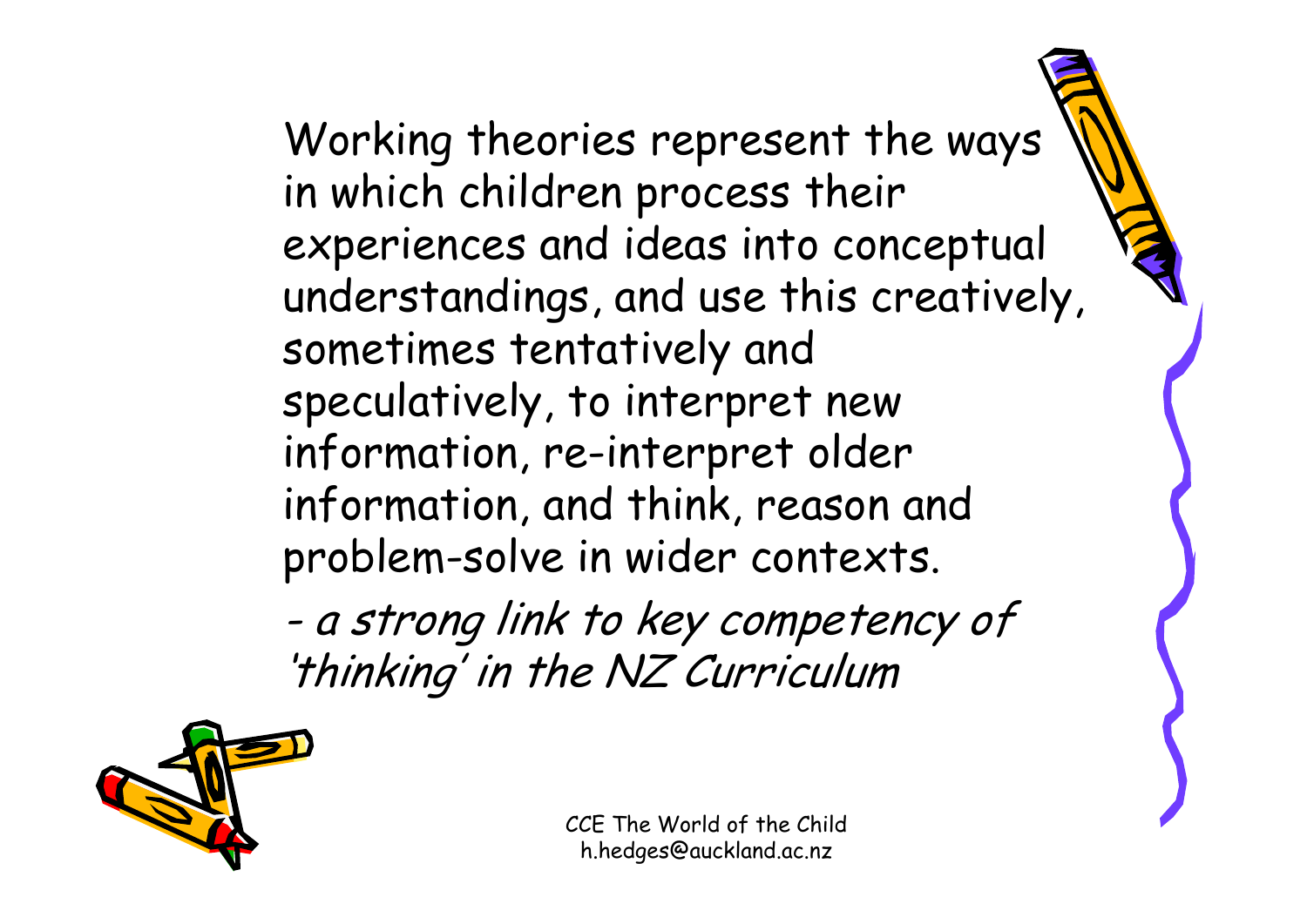Working theories represent the ways in which children process their experiences and ideas into conceptual understandings, and use this creatively, sometimes tentatively and speculatively, to interpret new information, re-interpret older information, and think, reason and problem-solve in wider contexts.

 a strong link to key competency of 'thinking' in the NZ Curriculum

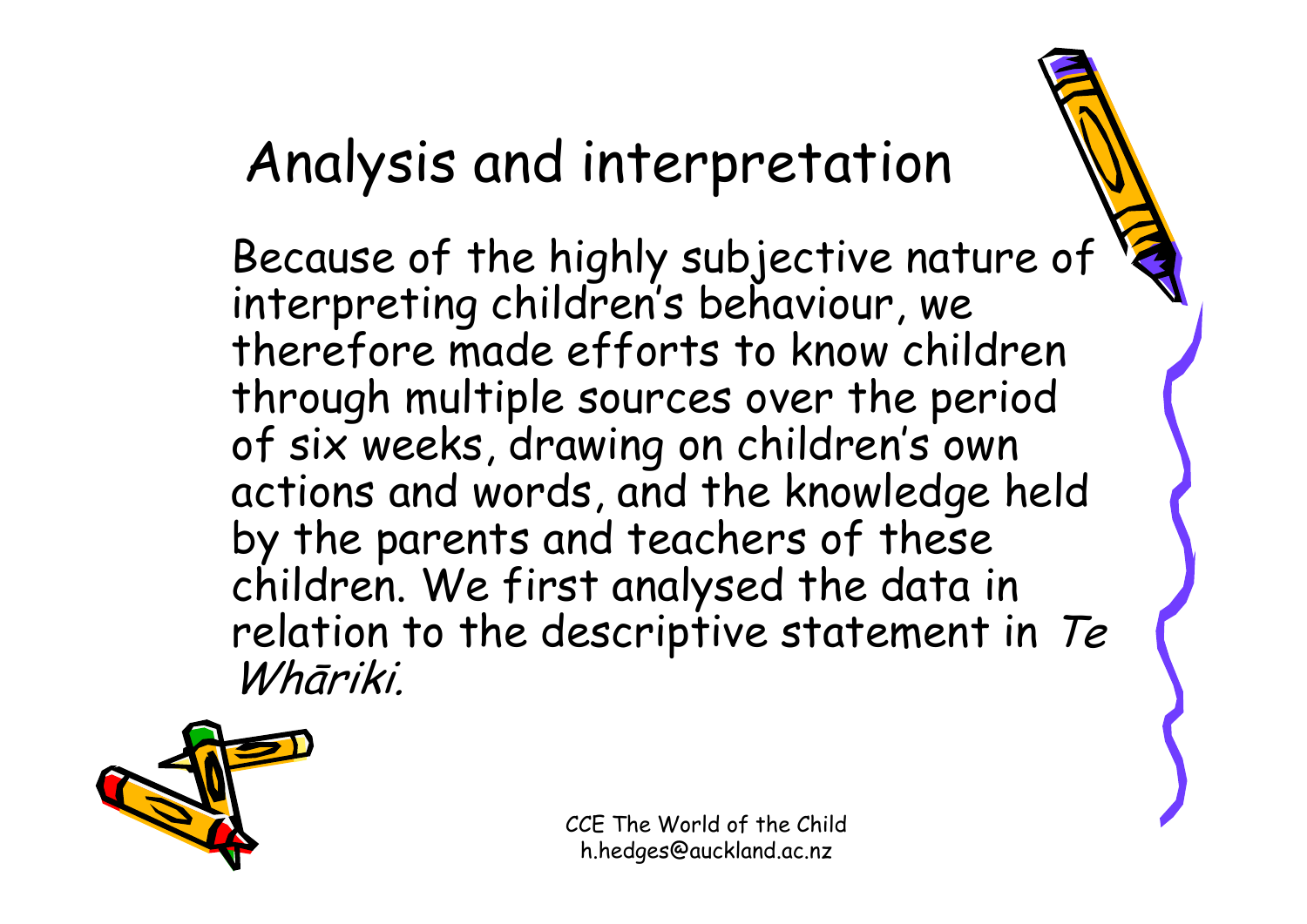#### Analysis and interpretation

Because of the highly subjective nature of interpreting children's behaviour, we therefore made efforts to know children through multiple sources over the period of six weeks, drawing on children's own actions and words, and the knowledge held by the parents and teachers of these children. We first analysed the data in relation to the descriptive statement in Te Whāriki.

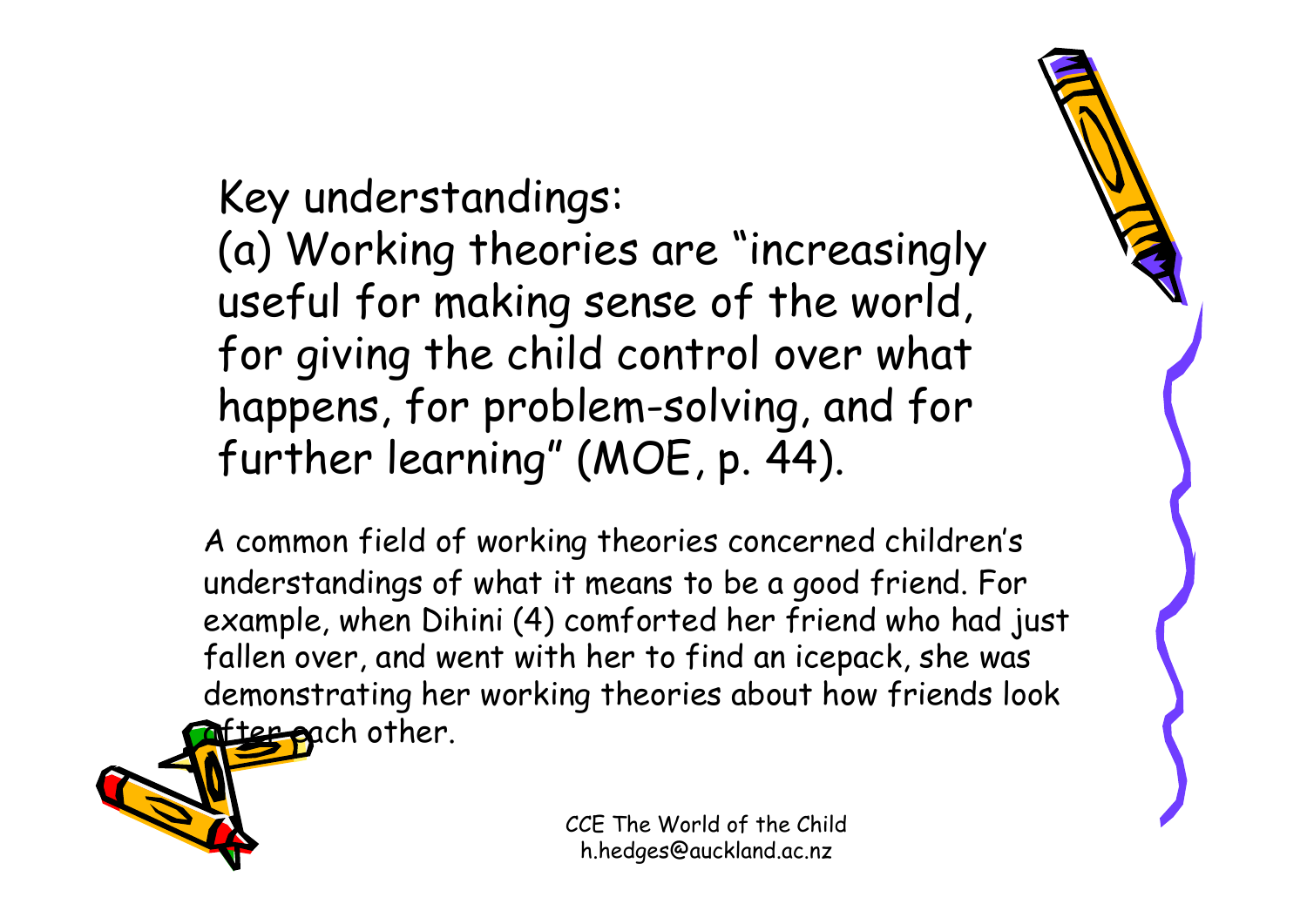#### Key understandings:

(a) Working theories are "increasingly useful for making sense of the world, for giving the child control over what happens, for problem-solving, and for further learning" (MOE, p. 44).

A common field of working theories concerned children's understandings of what it means to be a good friend. For example, when Dihini (4) comforted her friend who had just fallen over, and went with her to find an icepack, she was demonstrating her working theories about how friends look after pach other.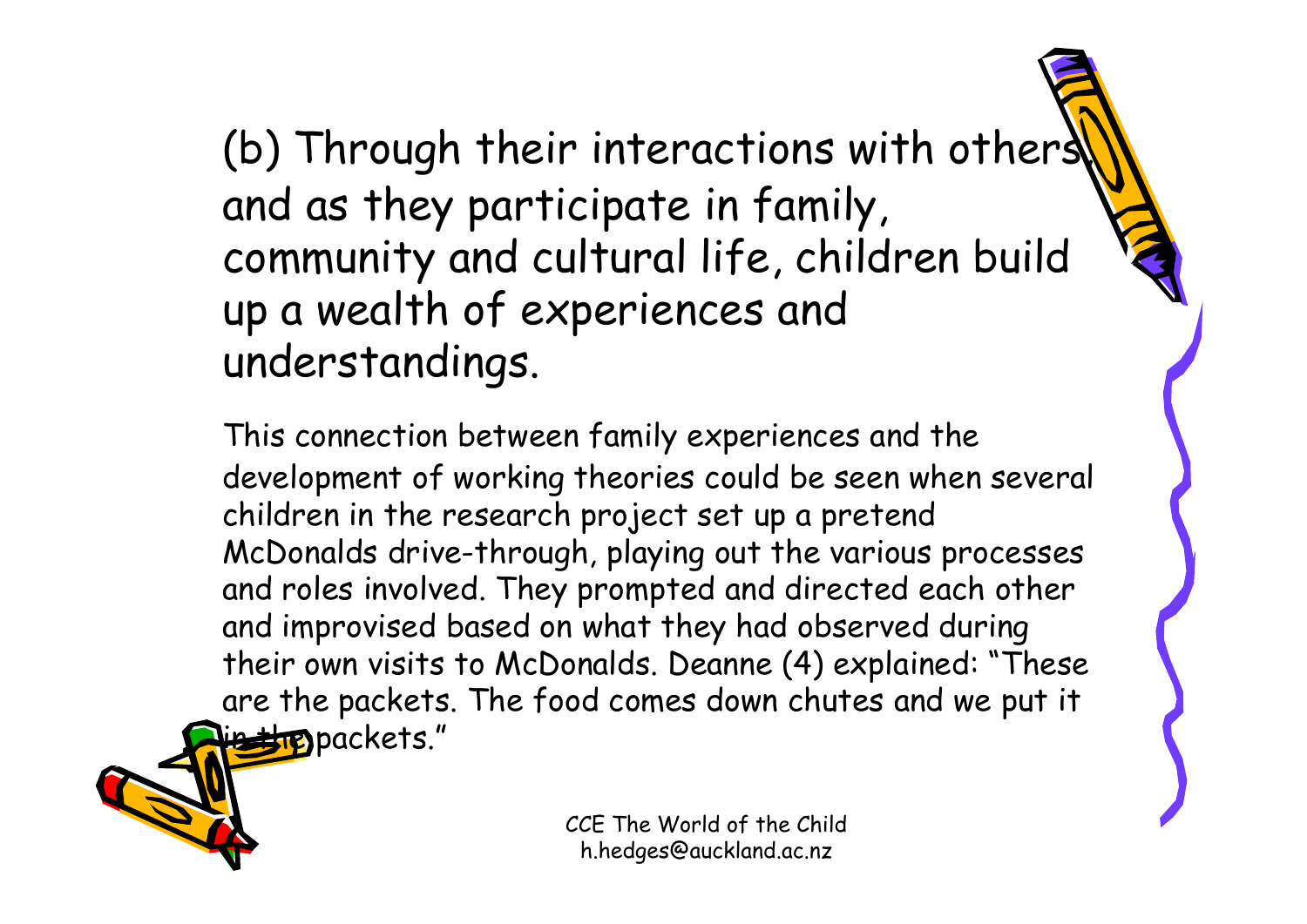(b) Through their interactions with others and as they participate in family, community and cultural life, children build up a wealth of experiences and understandings.

This connection between family experiences and the development of working theories could be seen when several children in the research project set up a pretend McDonalds drive-through, playing out the various processes and roles involved. They prompted and directed each other and improvised based on what they had observed during their own visits to McDonalds. Deanne (4) explained: "These are the packets. The food comes down chutes and we put it **Ette** packets."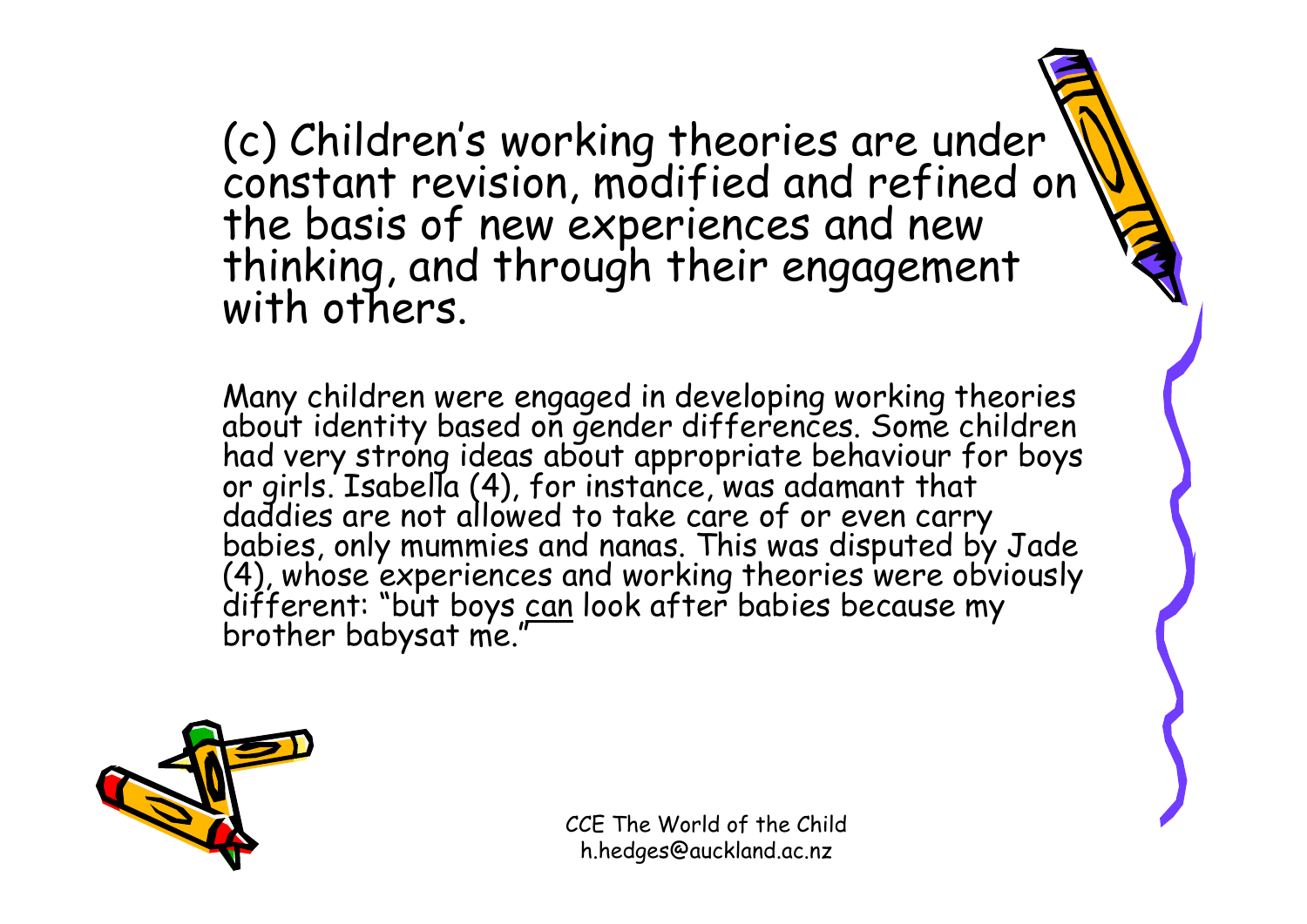(c) Children's working theories are under \\<br>constant revision, modified and refined on the basis of new experiences and new<br>thinking, and through their engagement<br>with others.

Many children were engaged in developing working theories<br>about identity based on gender differences. Some children<br>had very strong ideas about appropriate behaviour for boys<br>or girls. Isabella (4), for instance, was adama

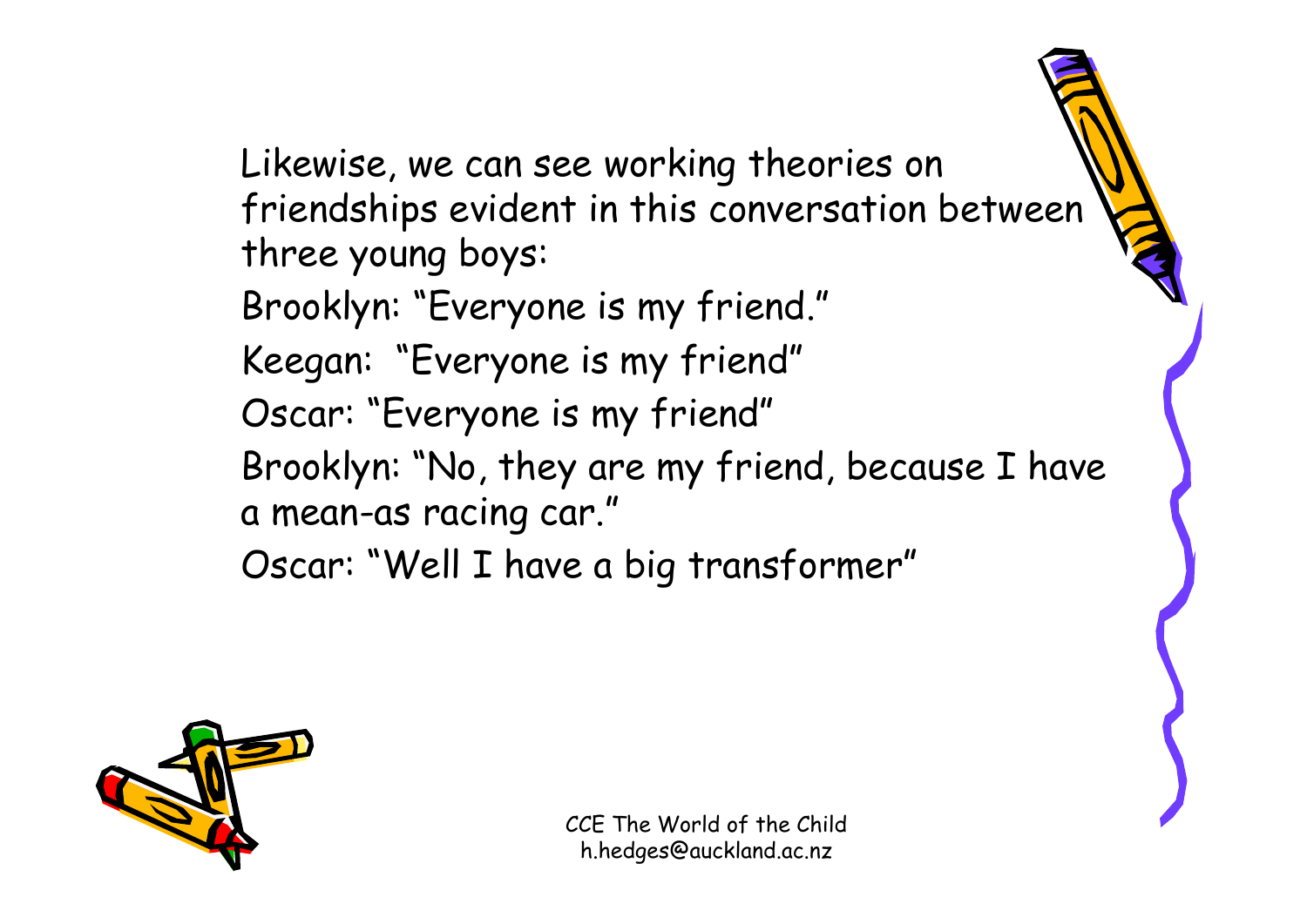Likewise, we can see working theories on friendships evident in this conversation between three young boys:

Brooklyn: "Everyone is my friend."

Keegan: "Everyone is my friend"

Oscar: "Everyone is my friend"

Brooklyn: "No, they are my friend, because I have a mean-as racing car."

Oscar: "Well I have a big transformer"

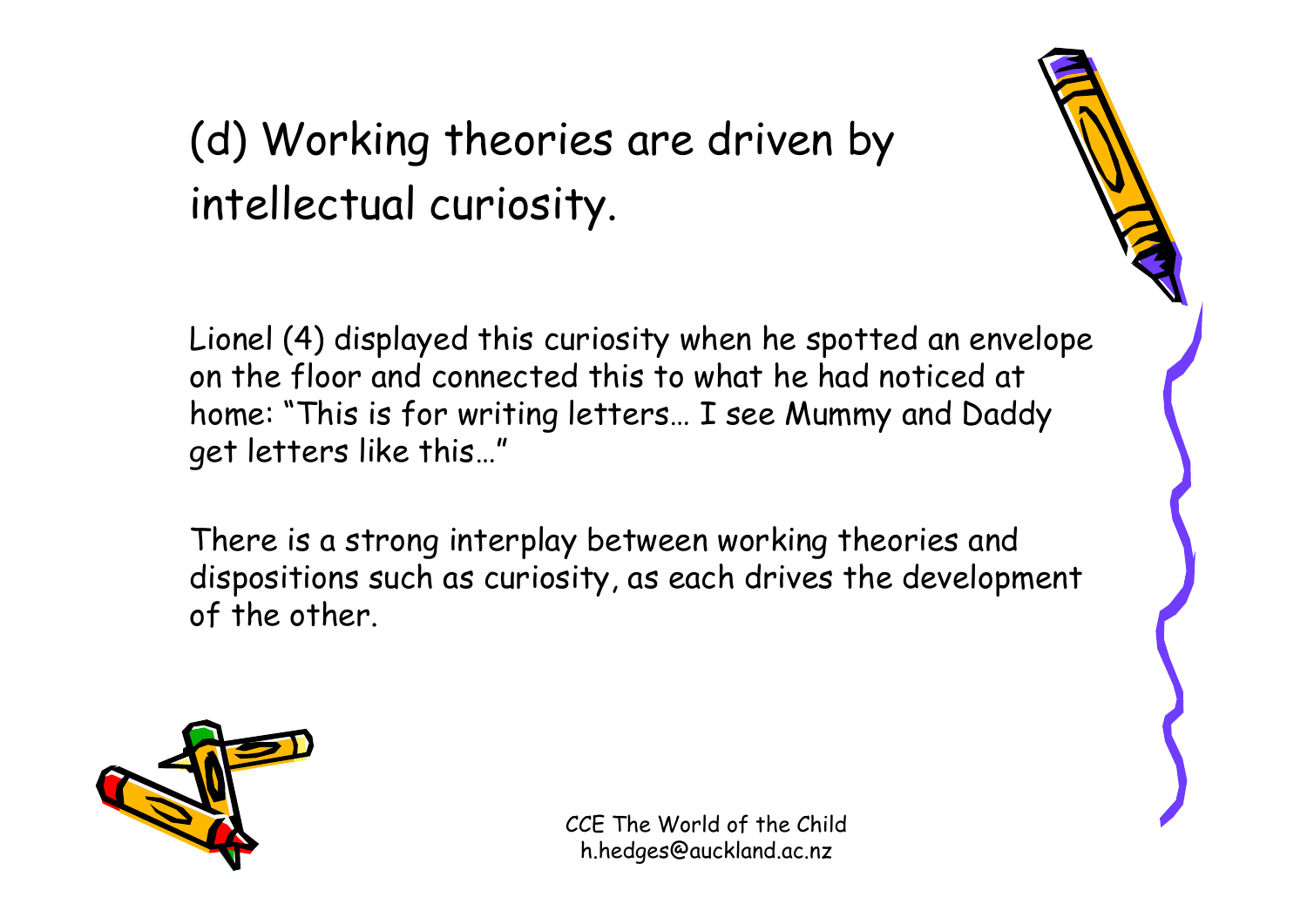#### (d) Working theories are driven by intellectual curiosity.

Lionel (4) displayed this curiosity when he spotted an envelope on the floor and connected this to what he had noticed at home: "This is for writing letters… I see Mummy and Daddy get letters like this…"

There is a strong interplay between working theories and dispositions such as curiosity, as each drives the development of the other.

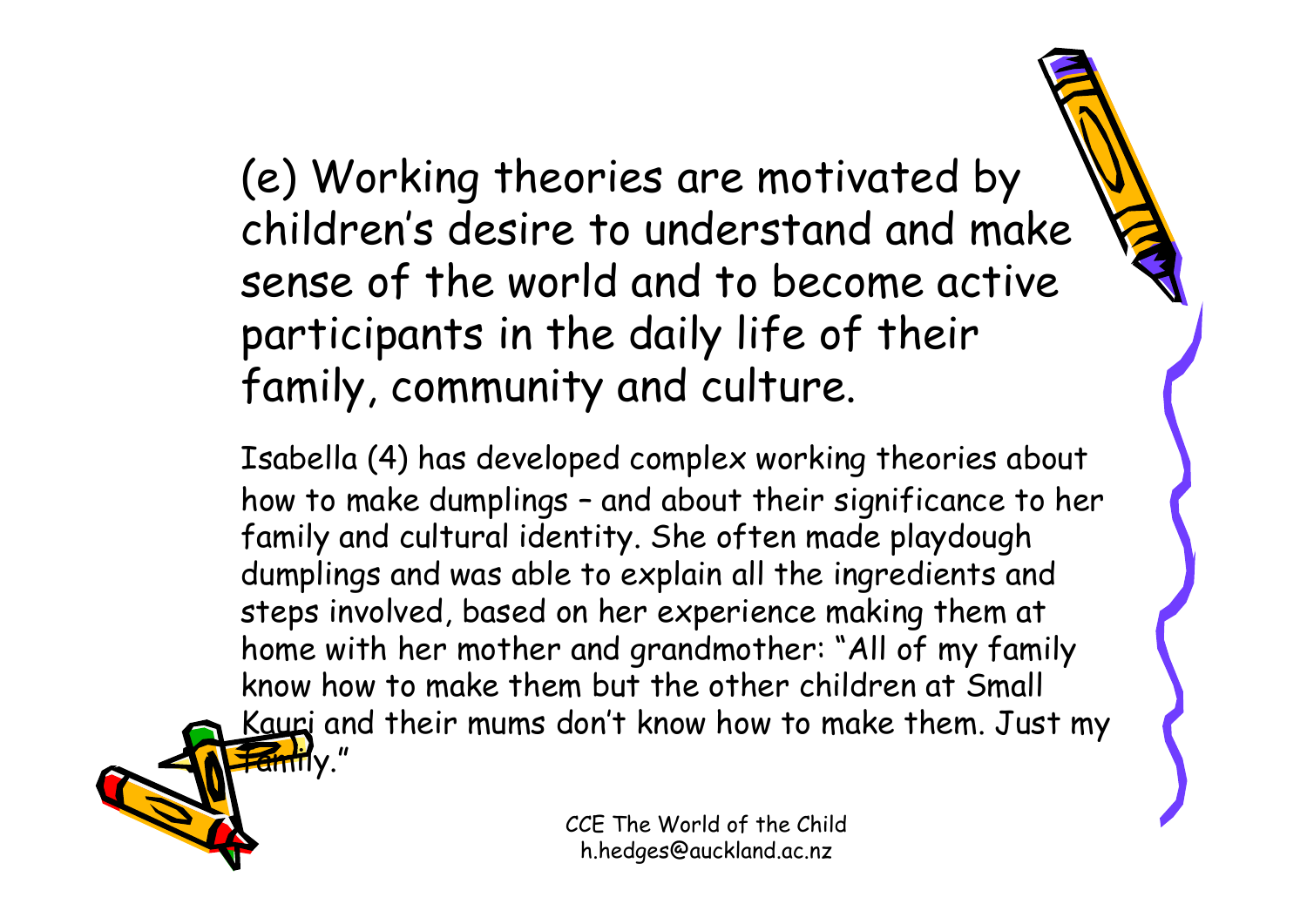#### (e) Working theories are motivated by children's desire to understand and make sense of the world and to become active participants in the daily life of their family, community and culture.

Isabella (4) has developed complex working theories about how to make dumplings – and about their significance to her family and cultural identity. She often made playdough dumplings and was able to explain all the ingredients and steps involved, based on her experience making them at home with her mother and grandmother: "All of my family know how to make them but the other children at Small Kauri and their mums don't know how to make them. Just my **Family."**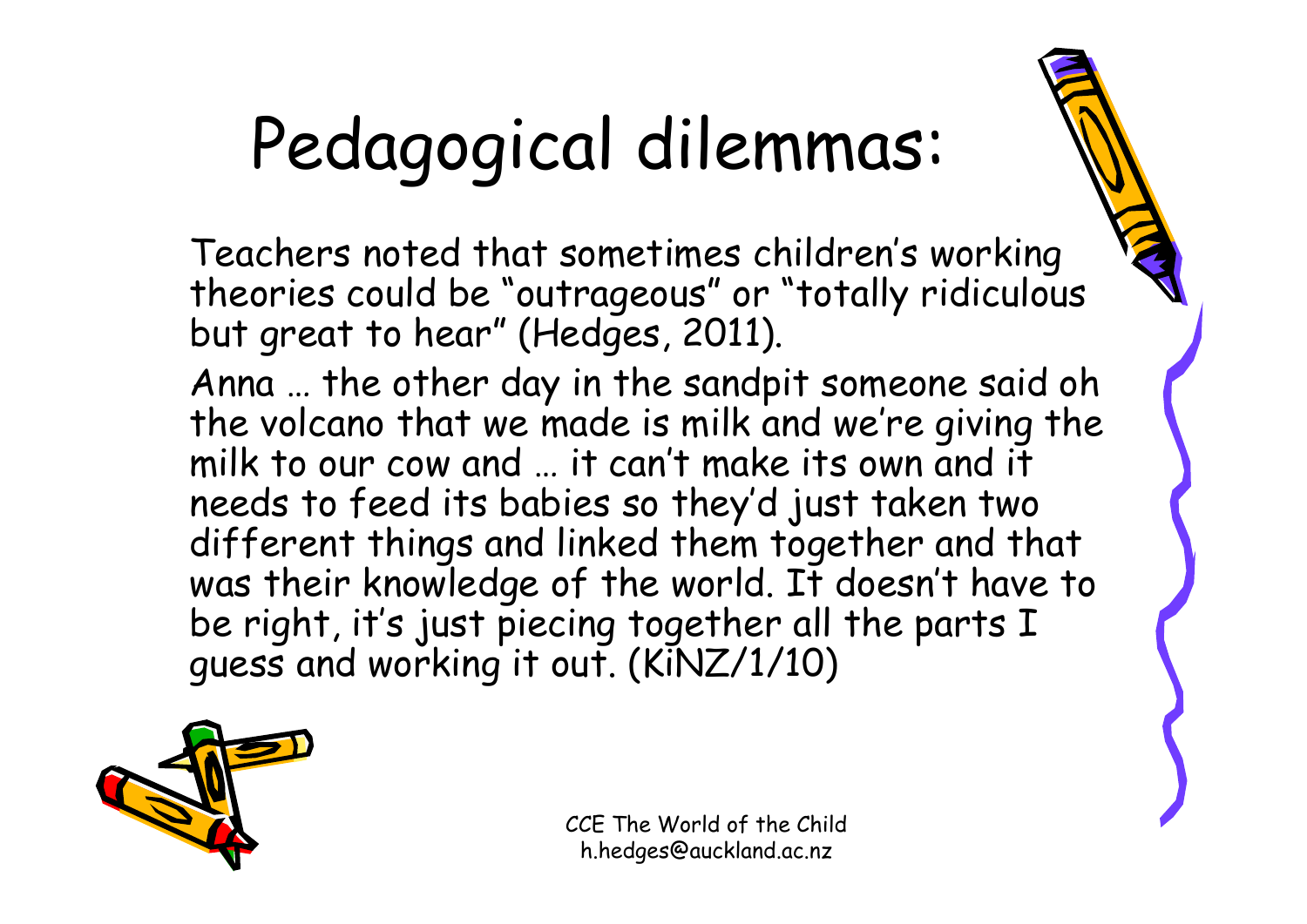# Pedagogical dilemmas:

Teachers noted that sometimes children's working theories could be "outrageous" or "totally ridiculous but great to hear" (Hedges, 2011).

Anna … the other day in the sandpit someone said oh the volcano that we made is milk and we're giving the milk to our cow and … it can't make its own and it needs to feed its babies so they'd just taken two different things and linked them together and that was their knowledge of the world. It doesn't have to be right, it's just piecing together all the parts I guess and working it out. (KiNZ/1/10)

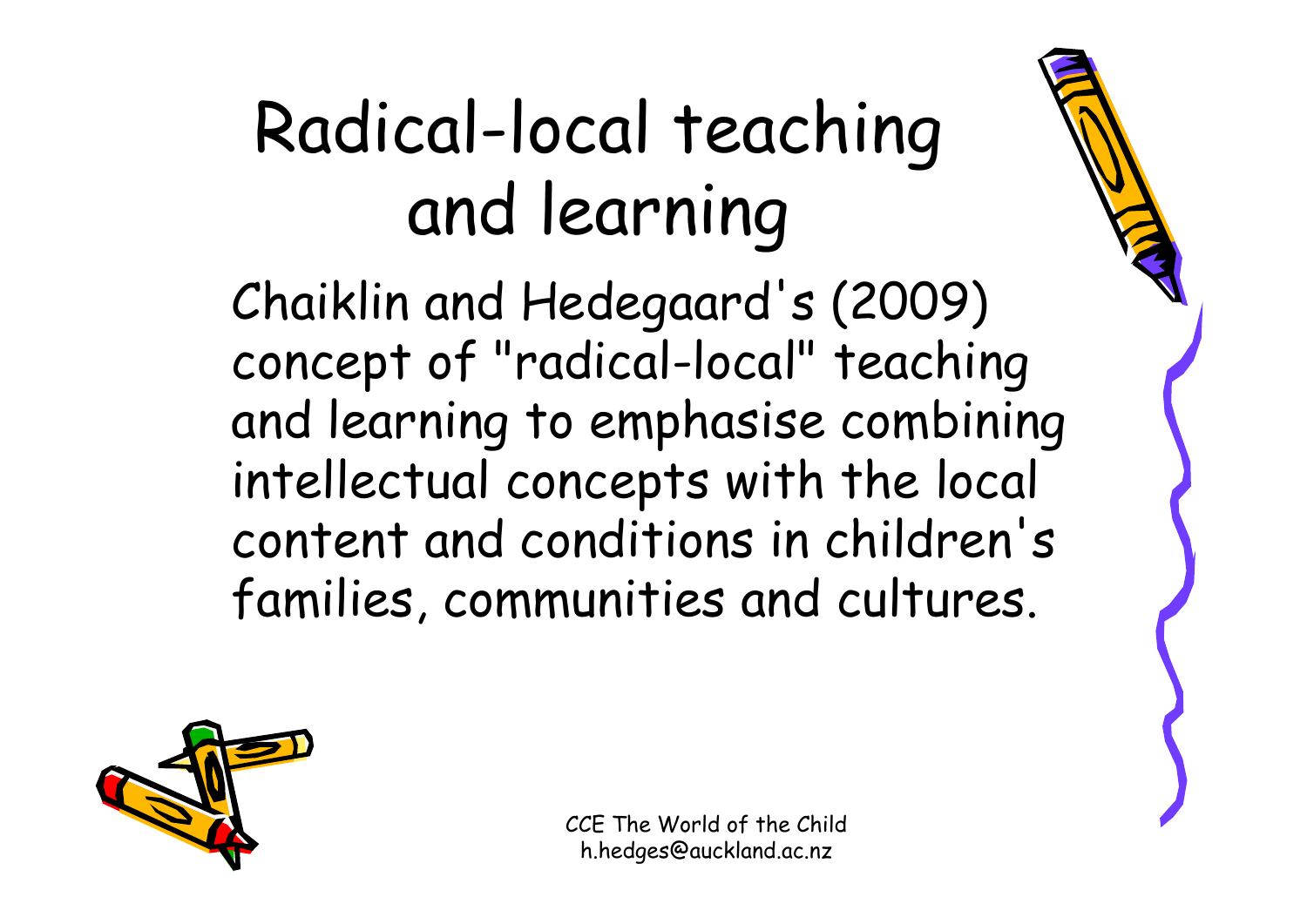### Radical-local teaching and learning

Chaiklin and Hedegaard's (2009) concept of "radical-local" teaching and learning to emphasise combining intellectual concepts with the local content and conditions in children's families, communities and cultures.

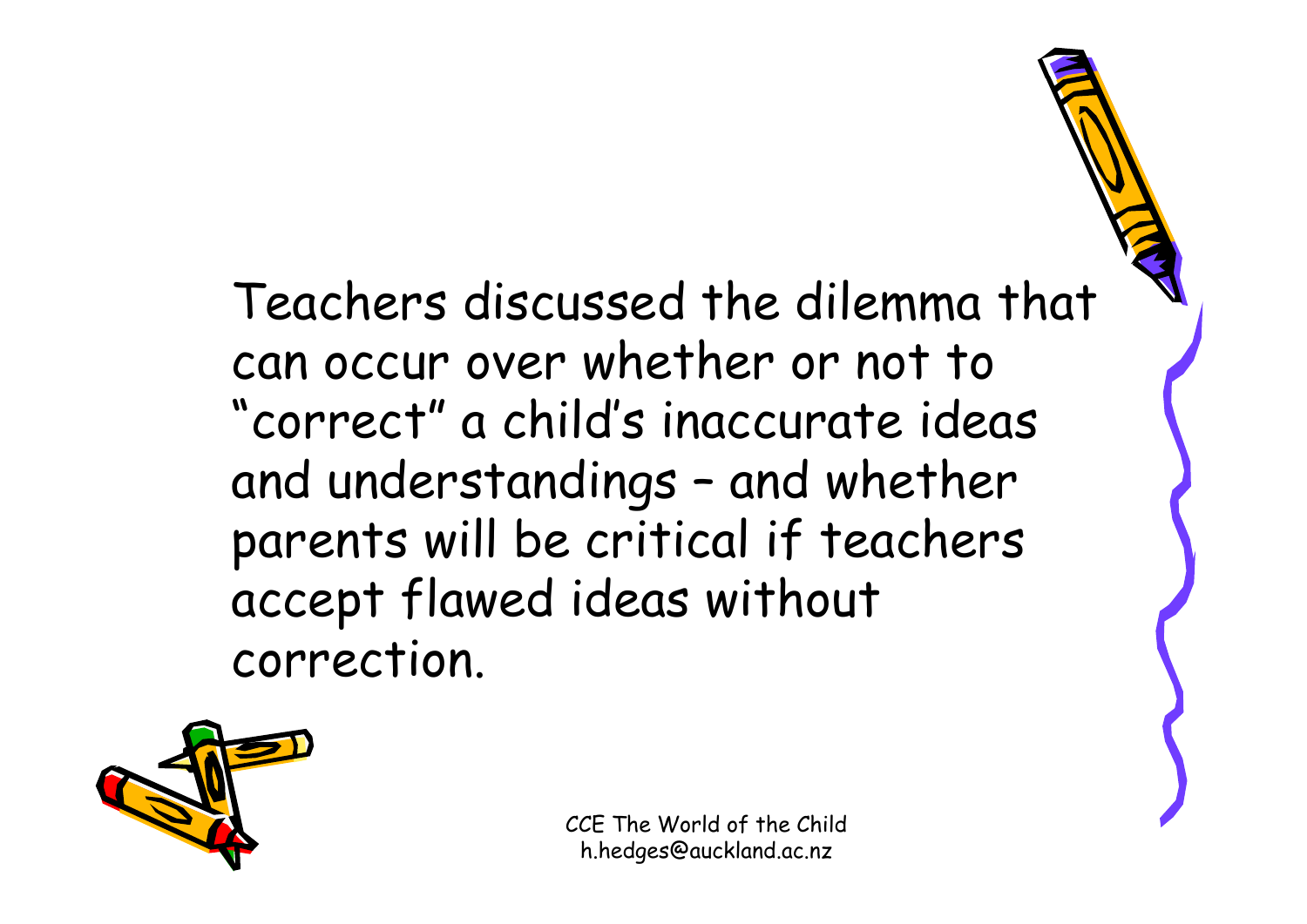Teachers discussed the dilemma that can occur over whether or not to "correct" a child's inaccurate ideas and understandings – and whether parents will be critical if teachers accept flawed ideas without correction.

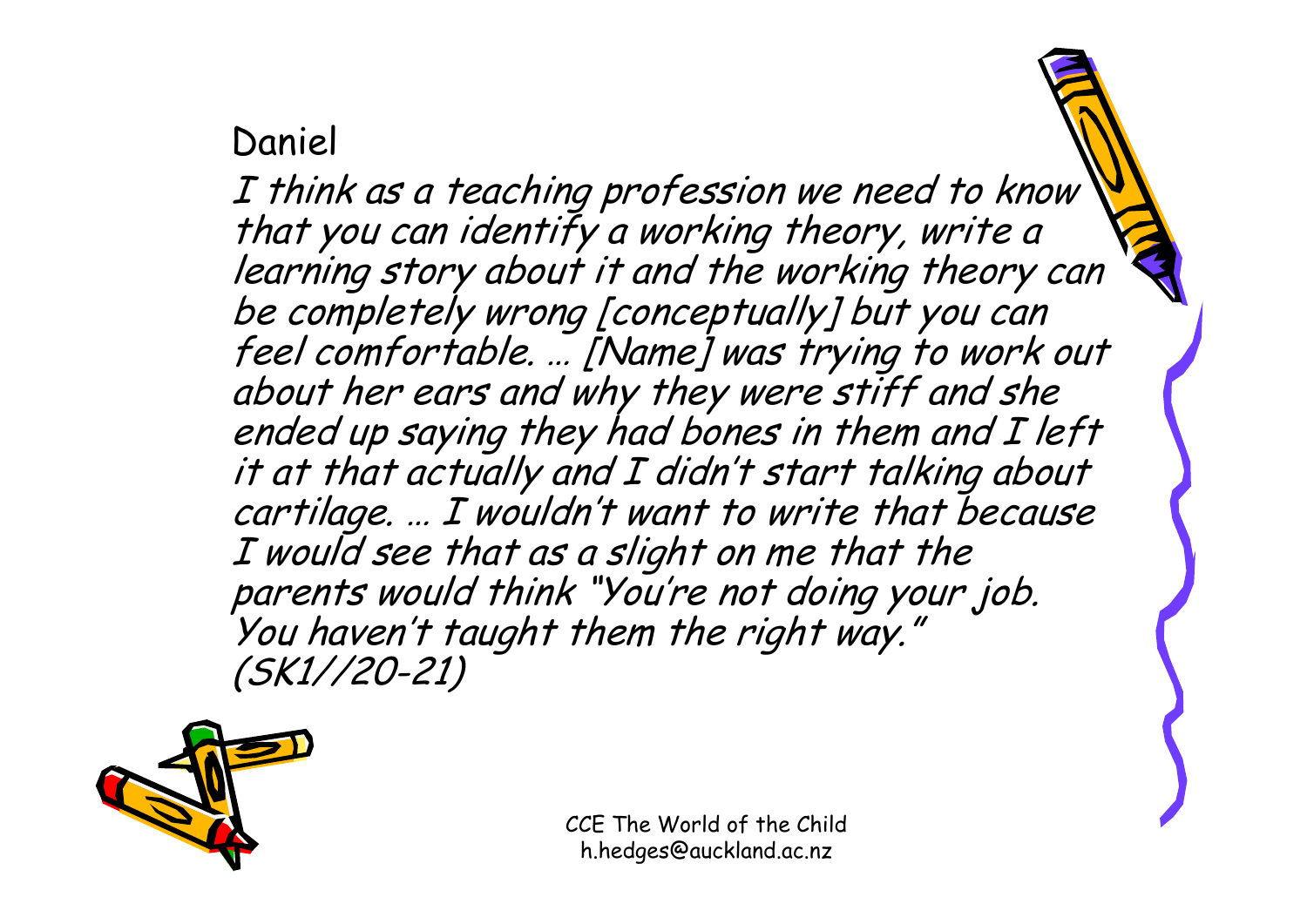#### Daniel

I think as a teaching profession we need to know that you can identify a working theory, write a learning story about it and the working theory can be completely wrong [conceptually] but you can feel comfortable. … [Name] was trying to work out about her ears and why they were stiff and she ended up saying they had bones in them and I left it at that actually and I didn't start talking about cartilage. … I wouldn't want to write that because I would see that as a slight on me that the parents would think "You're not doing your job. You haven't taught them the right way." (SK1//20-21)

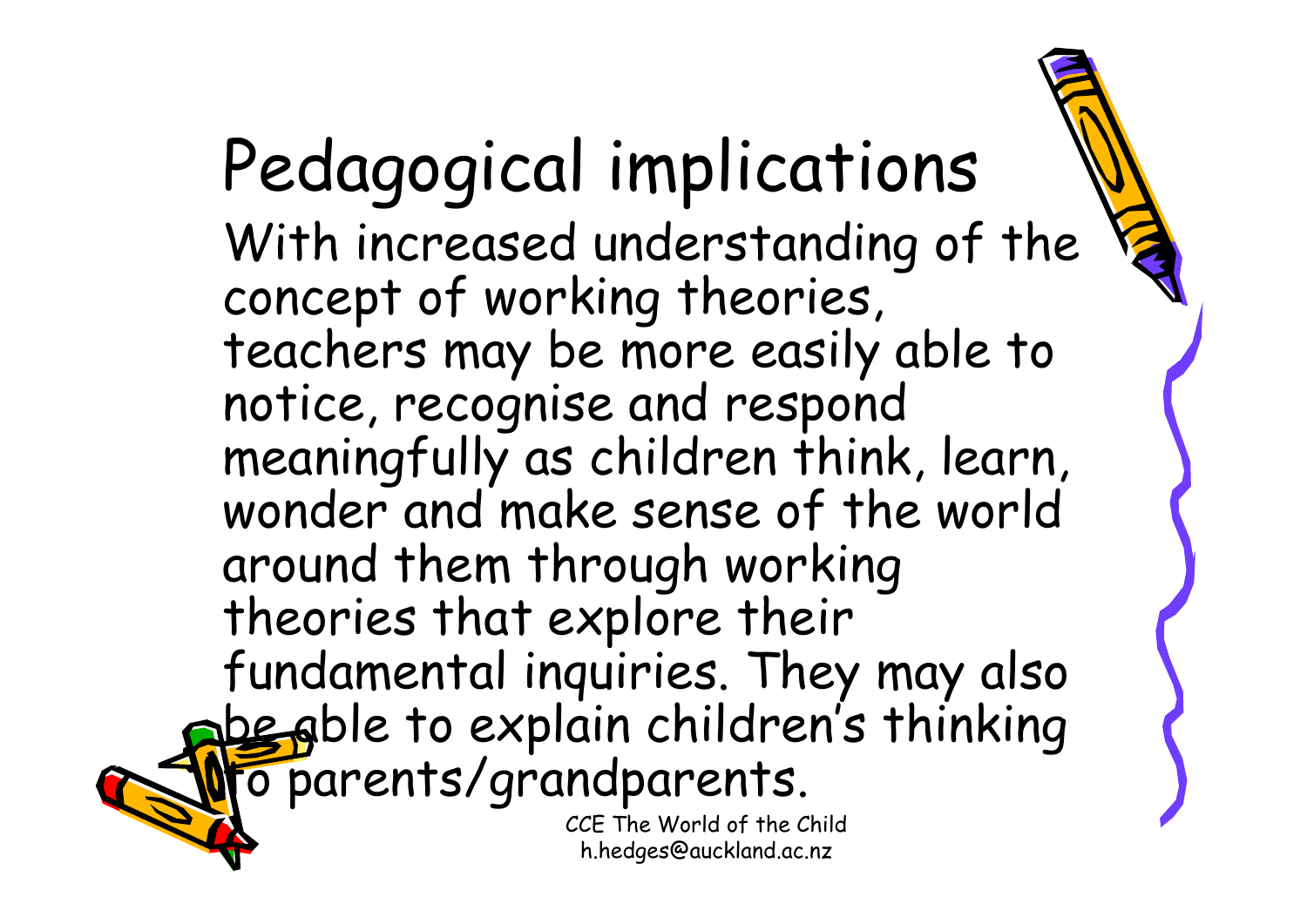Pedagogical implications With increased understanding of the concept of working theories, teachers may be more easily able to notice, recognise and respond meaningfully as children think, learn, wonder and make sense of the world around them through working theories that explore their fundamental inquiries. They may also be able to explain children's thinking  $\sigma$  parents/grandparents.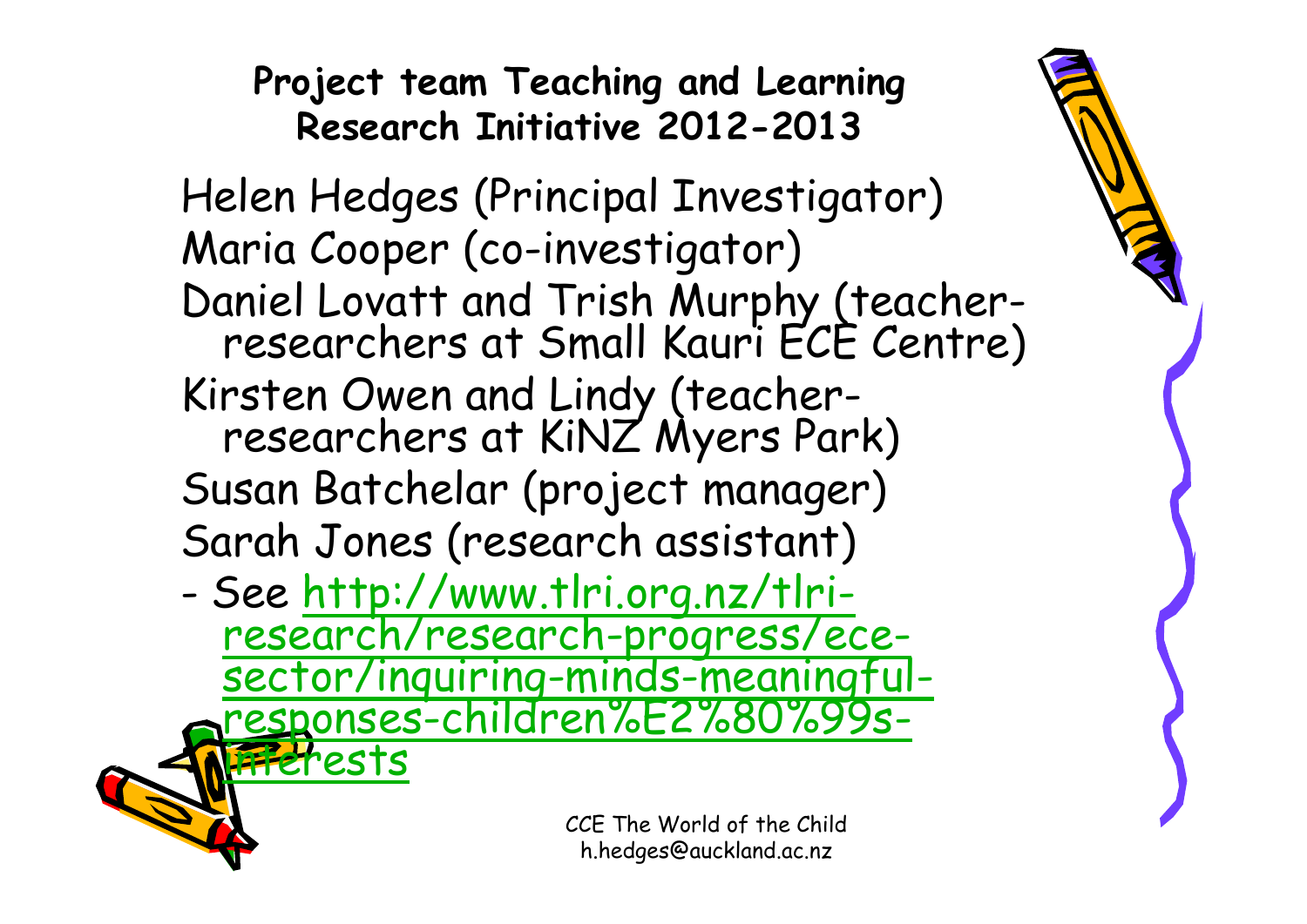#### **Project team Teaching and Learning Research Initiative 2012-2013**

Helen Hedges (Principal Investigator) Maria Cooper (co-investigator) Daniel Lovatt and Trish Murphy (teacher- researchers at Small Kauri ECE Centre) Kirsten Owen and Lindy (teacher- researchers at KiNZ Myers Park) Susan Batchelar (project manager) Sarah Jones (research assistant)

- See http://www.tlri.org.nz/tlrires[earch/research-progress/ece-](http://www.tlri.org.nz/tlri-research/research-progress/ece-sector/inquiring-minds-meaningful-responses-children%E2%80%99s-interests)<br>[sector/inquiring-minds-meaningful](http://www.tlri.org.nz/tlri-research/research-progress/ece-sector/inquiring-minds-meaningful-responses-children%E2%80%99s-interests) responses-c[hildren%E2%80%99s-](http://www.tlri.org.nz/tlri-research/research-progress/ece-sector/inquiring-minds-meaningful-responses-children%E2%80%99s-interests)<br>[interests](http://www.tlri.org.nz/tlri-research/research-progress/ece-sector/inquiring-minds-meaningful-responses-children%E2%80%99s-interests)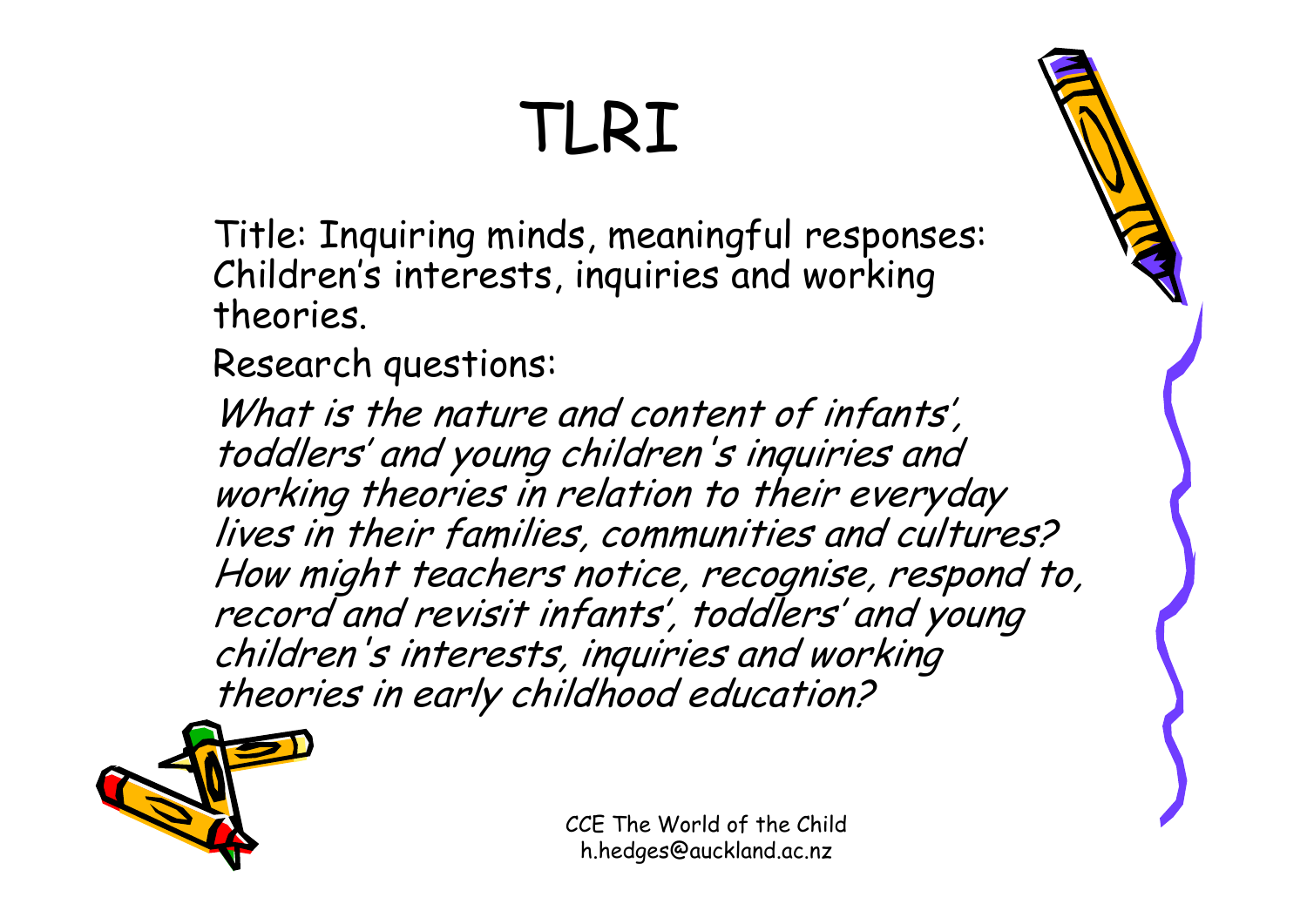### TLRI

Title: Inquiring minds, meaningful responses: Children's interests, inquiries and working theories.

Research questions:

What is the nature and content of infants', toddlers' and young children's inquiries and working theories in relation to their everyday lives in their families, communities and cultures? How might teachers notice, recognise, respond to, record and revisit infants', toddlers' and young children's interests, inquiries and working theories in early childhood education?

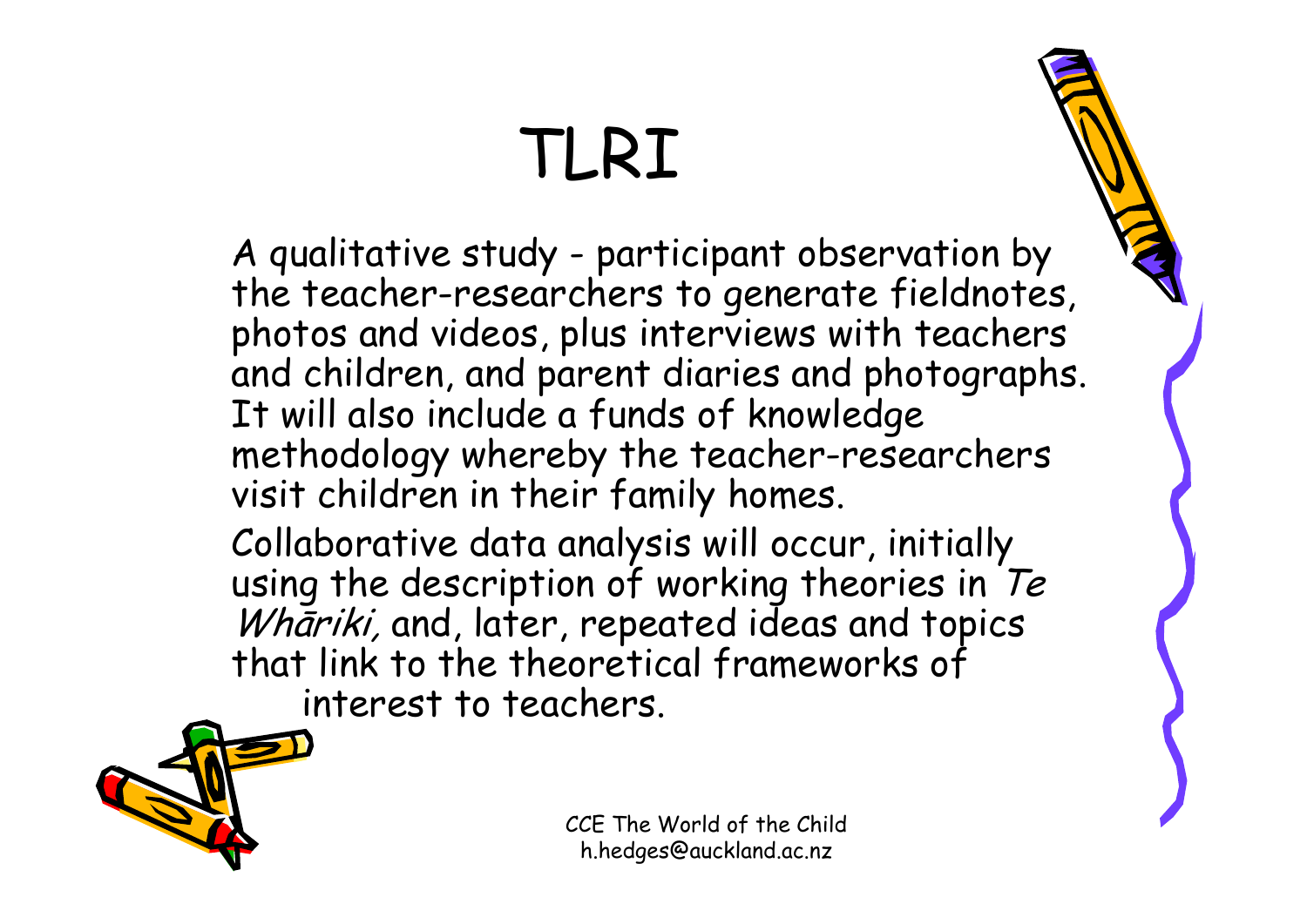### TLRI

A qualitative study - participant observation by the teacher-researchers to generate fieldnotes, photos and videos, plus interviews with teachers and children, and parent diaries and photographs. It will also include a funds of knowledge methodology whereby the teacher-researchers visit children in their family homes.

Collaborative data analysis will occur, initially using the description of working theories in  $Te$ Whariki, and, later, repeated ideas and topics that link to the theoretical frameworks of interest to teachers.

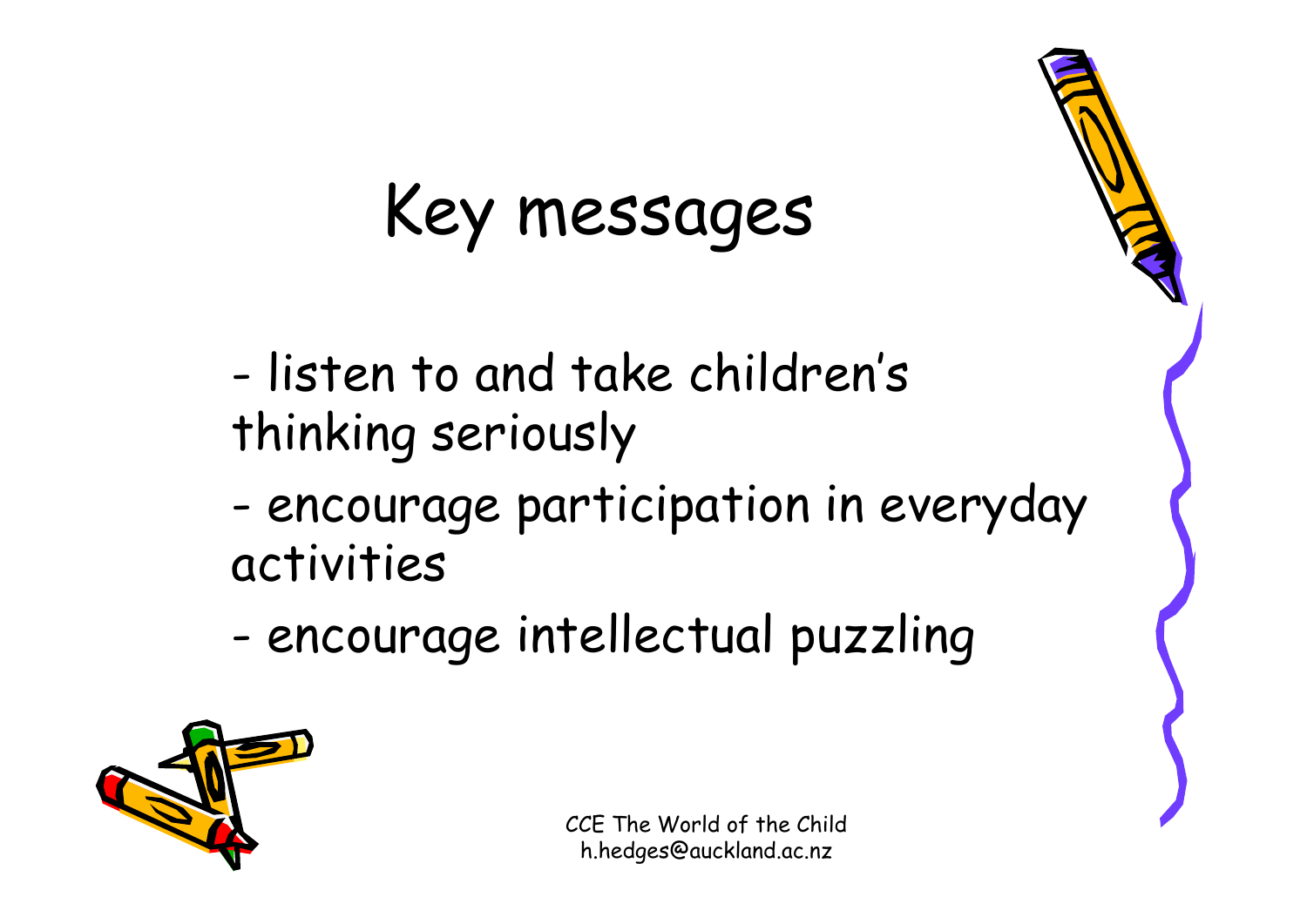### Key messages

- listen to and take children's thinking seriously
- encourage participation in everyday activities
- -- encourage intellectual puzzling

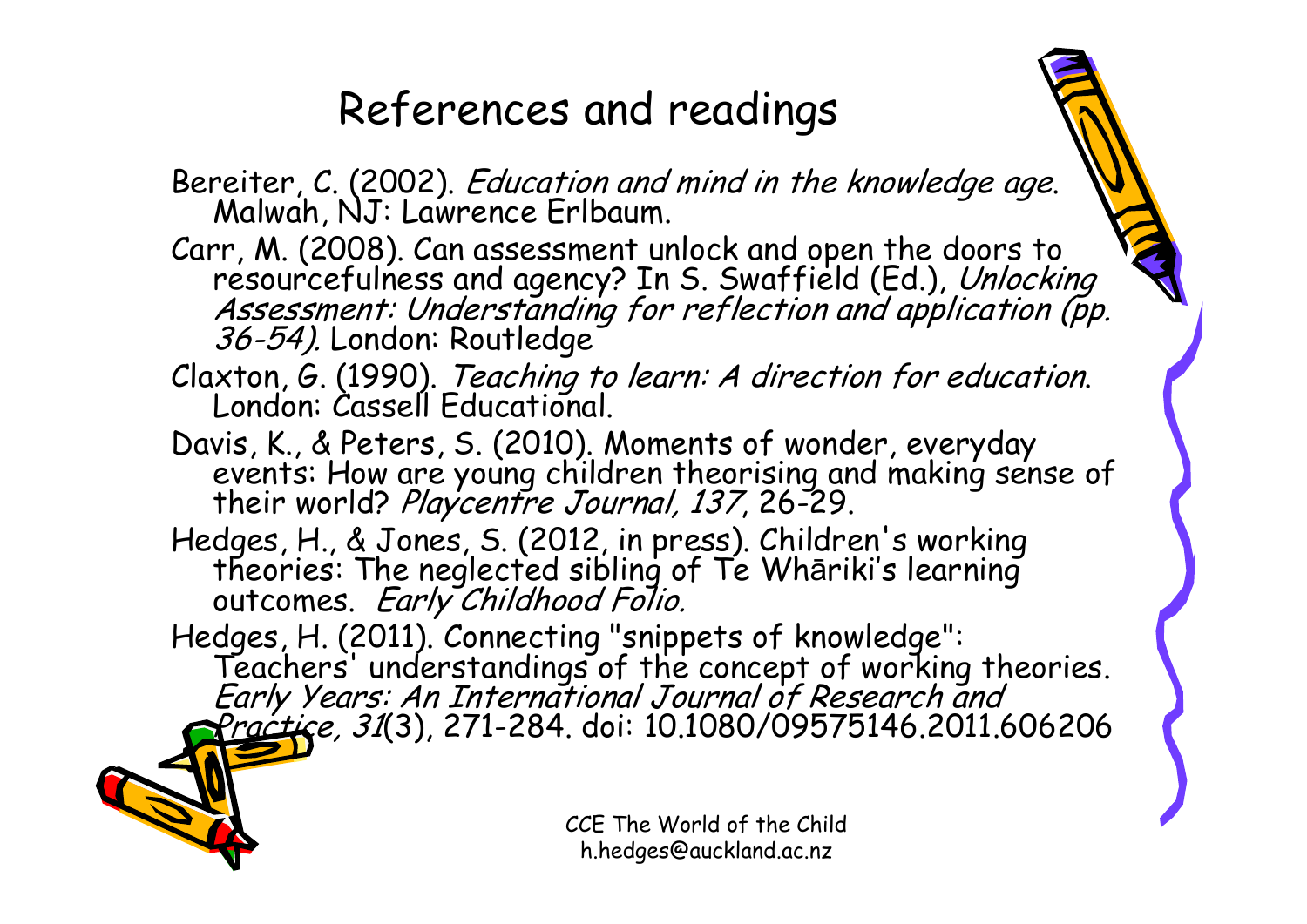#### References and readings

- Bereiter, C. (2002). Education and mind in the knowledge age. Malwah, NJ: Lawrence Erlbaum.
- Carr, M. (2008). Can assessment unlock and open the doors to<br>resourcefulness and agency? In S. Swaffield (Ed.), Unlocking<br>Assessment: Understanding for reflection and application (pp.<br>36-54). London: Routledge
- Claxton, G. (1990). Teaching to learn: A direction for education. London: Cassell Educational.
- Davis, K., & Peters, S. (2010). Moments of wonder, everyday<br>events: How are young children theorising and making sense of<br>their world? Playcentre Journal, 137, 26-29.
- Hedges, H., & Jones, S. (2012, in press). Children's working theories: The neglected sibling of Te Wh <sup>ā</sup>riki's learning outcomes. Early Childhood Folio.
- Hedges, H. (2011). Connecting "snippets of knowledge":<br>Teachers' understandings of the concept of working theories.<br>*Early Years: An International Journal of Research and*<br>*Practice, 31*(3), 271-284. doi: 10.1080/09575146.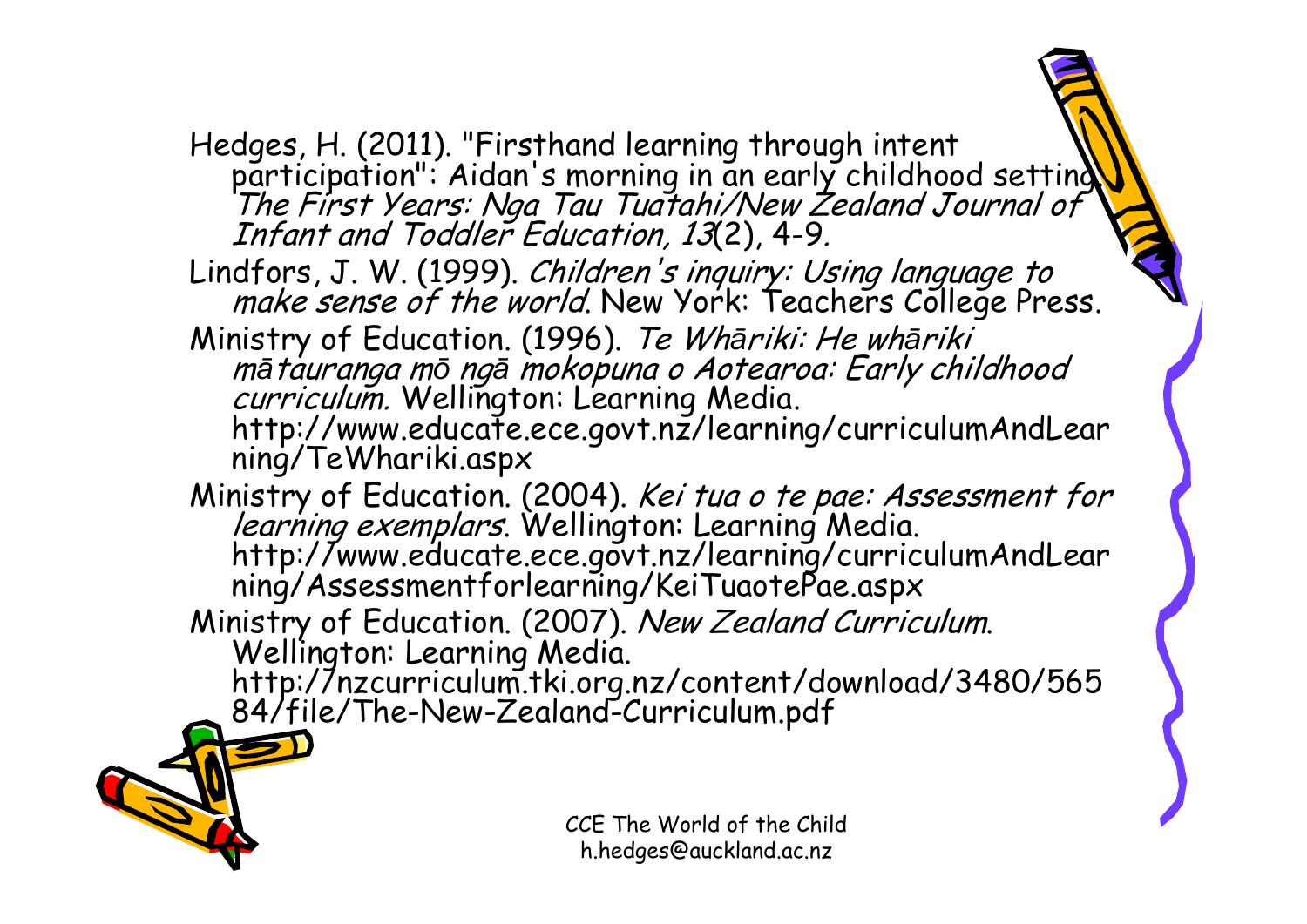Hedges, H. (2011). "Firsthand learning through intent<br>participation": Aidan's morning in an early childhood setting.<br>The First Years: Nga Tau Tuatahi/New Zealand Journal of<br>Infant and Toddler Education, 13(2), 4-9.

Lindfors, J. W. (1999). Children's inquiry: Using language to make sense of the world. New York: Teachers College Press.

Ministry of Education. (1996). Te Wh*ā*riki: He wh*ā*riki *mā tauranga mō ngā mokopuna o Aotearoa: Early childhood<br><i>curriculum.* Wellington: Learning Media.<br>http://www.educate.ece.govt.nz/learning/curriculumAndLear<br>ning/TeWhariki.aspx

Ministry of Education. (2004). *Kei tua o te pae: Assessment for learning exemplars*. Wellington: Learning Media.<br>http://www.educate.ece.govt.nz/learning/curriculumAndLear<br>ning/Assessmentforlearning/KeiTuaotePae.aspx<br>Minis

Ministry of Education. (2007). New Zealand Curriculum. Wellington: Learning Media. http://nzcurriculum.tki.org.nz/content/download/3480/565 84/file/The-New-Zealand-Curriculum.pdf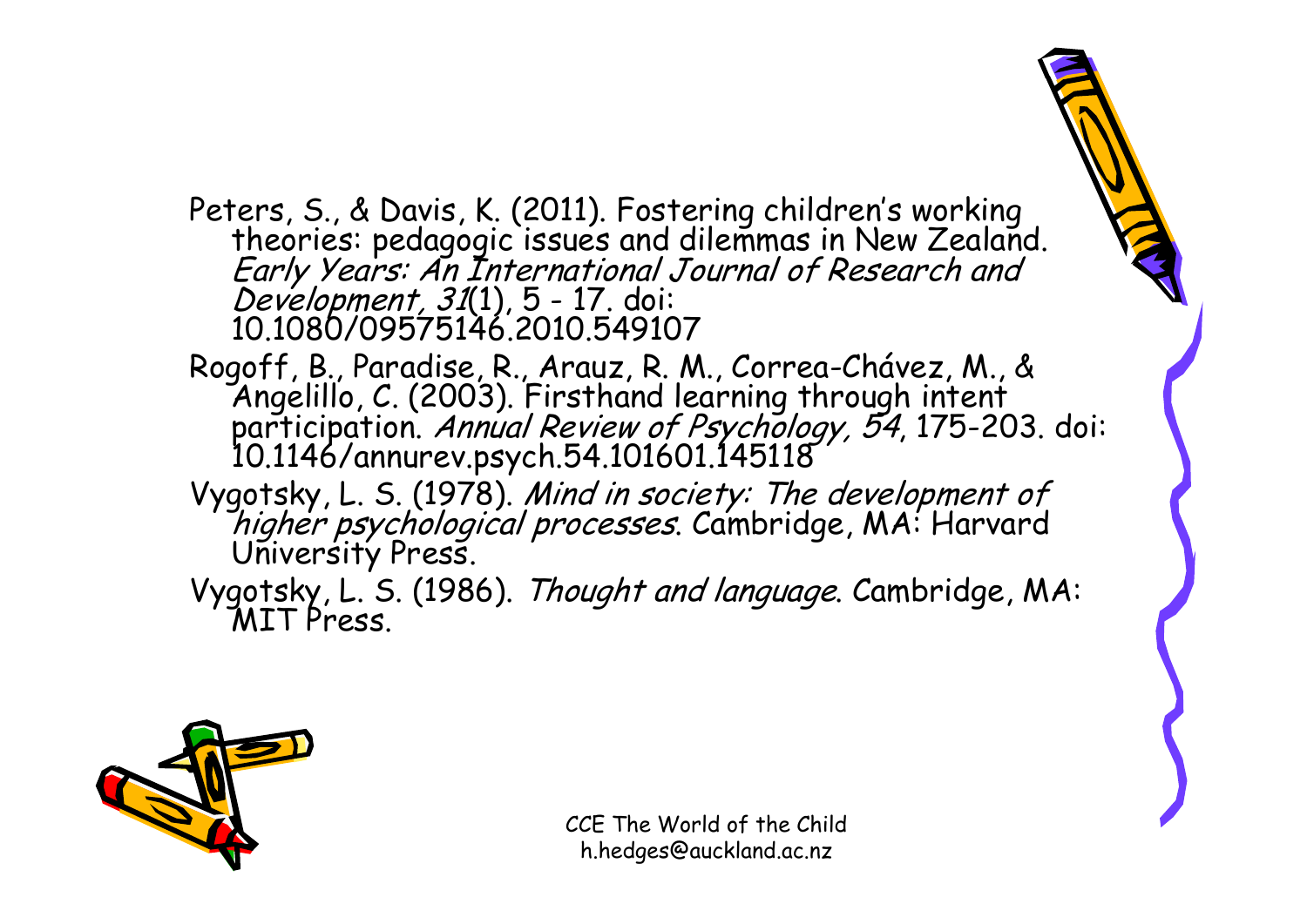- Peters, S., & Davis, K. (2011). Fostering children's working<br>theories: pedagogic issues and dilemmas in New Zealand.<br>*Early Years: An International Journal of Research and<br>Development, 31*(1), 5 17. doi:<br>10.1080/09575146
- Rogoff, B., Paradise, R., Arauz, R. M., Correa-Chávez, M., & Angelillo, C. (2003). Firsthand learning through intent participation. Annual Review of Psychology, 54, 175-203. doi: 10.1146/annurev.psych.54.101601.145118
- Vygotsky, L. S. (1978). Mind in society: The development of higher psychological processes. Cambridge, MA: Harvard University Press.
- Vygotsky, L. S. (1986). Thought and language. Cambridge, MA:<br>MIT Press.